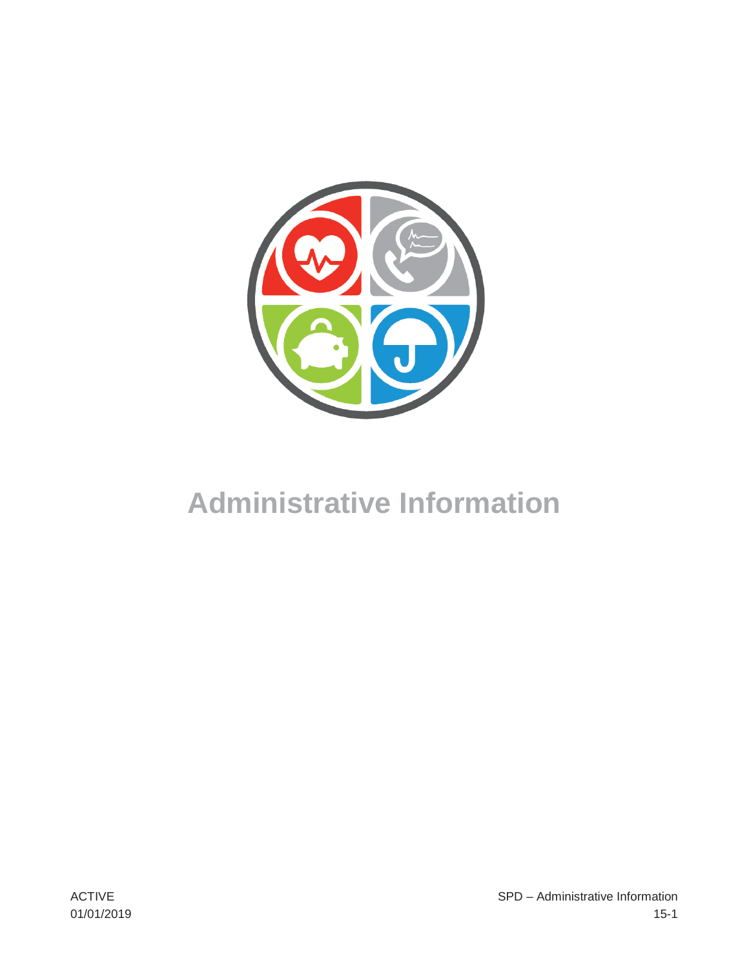

# **Administrative Information**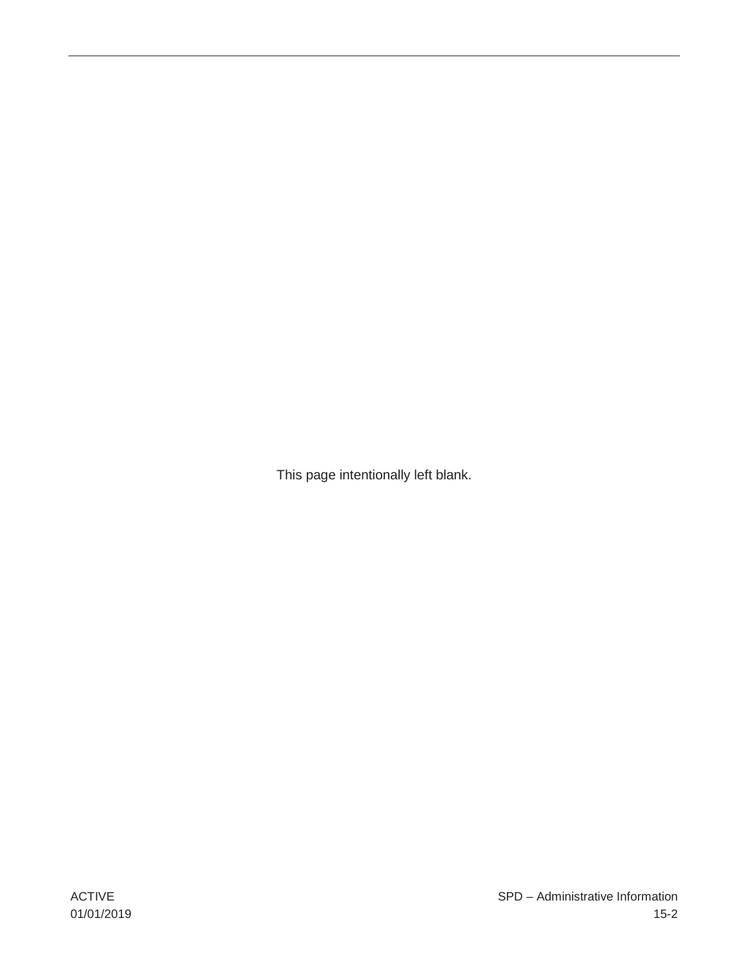This page intentionally left blank.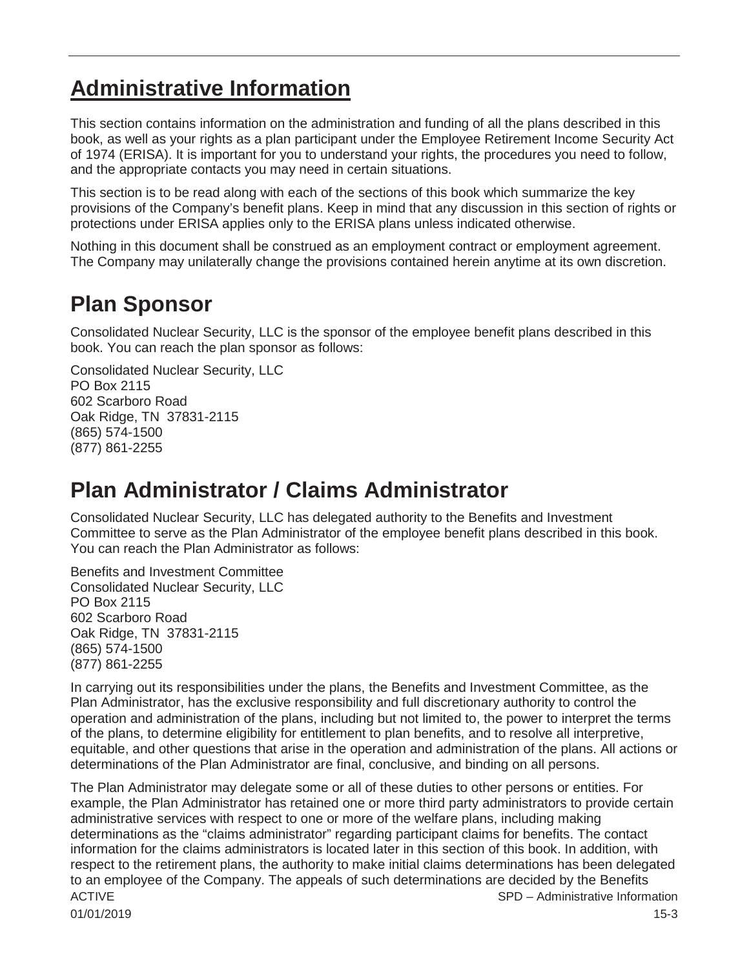## **Administrative Information**

This section contains information on the administration and funding of all the plans described in this book, as well as your rights as a plan participant under the Employee Retirement Income Security Act of 1974 (ERISA). It is important for you to understand your rights, the procedures you need to follow, and the appropriate contacts you may need in certain situations.

This section is to be read along with each of the sections of this book which summarize the key provisions of the Company's benefit plans. Keep in mind that any discussion in this section of rights or protections under ERISA applies only to the ERISA plans unless indicated otherwise.

Nothing in this document shall be construed as an employment contract or employment agreement. The Company may unilaterally change the provisions contained herein anytime at its own discretion.

## **Plan Sponsor**

Consolidated Nuclear Security, LLC is the sponsor of the employee benefit plans described in this book. You can reach the plan sponsor as follows:

Consolidated Nuclear Security, LLC PO Box 2115 602 Scarboro Road Oak Ridge, TN 37831-2115 (865) 574-1500 (877) 861-2255

## **Plan Administrator / Claims Administrator**

Consolidated Nuclear Security, LLC has delegated authority to the Benefits and Investment Committee to serve as the Plan Administrator of the employee benefit plans described in this book. You can reach the Plan Administrator as follows:

Benefits and Investment Committee Consolidated Nuclear Security, LLC PO Box 2115 602 Scarboro Road Oak Ridge, TN 37831-2115 (865) 574-1500 (877) 861-2255

In carrying out its responsibilities under the plans, the Benefits and Investment Committee, as the Plan Administrator, has the exclusive responsibility and full discretionary authority to control the operation and administration of the plans, including but not limited to, the power to interpret the terms of the plans, to determine eligibility for entitlement to plan benefits, and to resolve all interpretive, equitable, and other questions that arise in the operation and administration of the plans. All actions or determinations of the Plan Administrator are final, conclusive, and binding on all persons.

ACTIVE ACTIVE **SPD** – Administrative Information 01/01/2019 15-3 The Plan Administrator may delegate some or all of these duties to other persons or entities. For example, the Plan Administrator has retained one or more third party administrators to provide certain administrative services with respect to one or more of the welfare plans, including making determinations as the "claims administrator" regarding participant claims for benefits. The contact information for the claims administrators is located later in this section of this book. In addition, with respect to the retirement plans, the authority to make initial claims determinations has been delegated to an employee of the Company. The appeals of such determinations are decided by the Benefits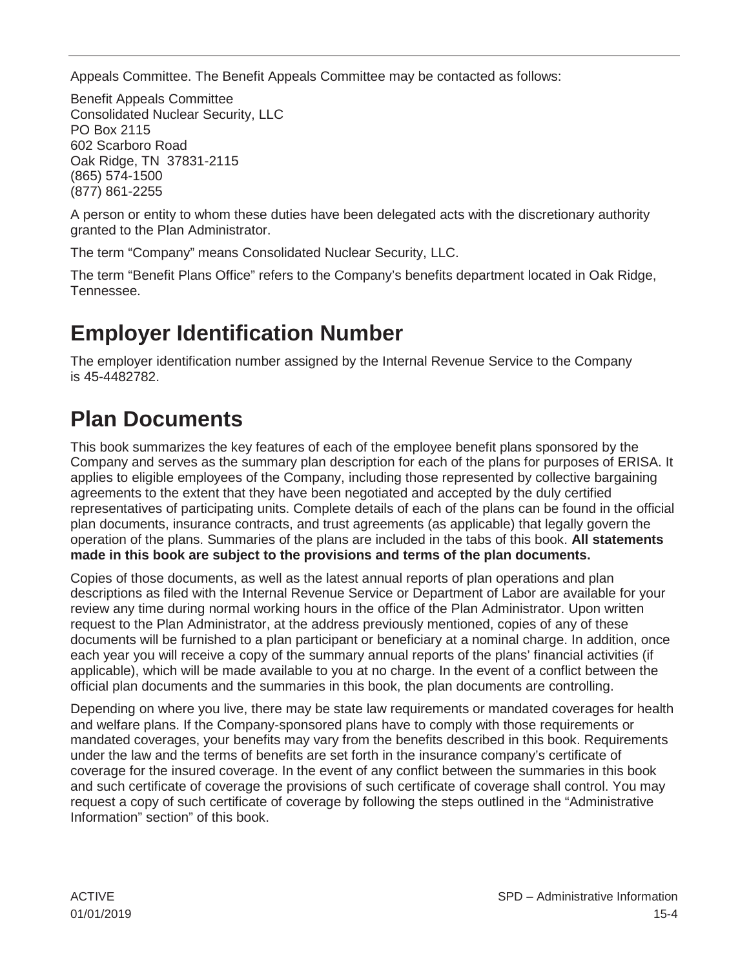Appeals Committee. The Benefit Appeals Committee may be contacted as follows:

Benefit Appeals Committee Consolidated Nuclear Security, LLC PO Box 2115 602 Scarboro Road Oak Ridge, TN 37831-2115 (865) 574-1500 (877) 861-2255

A person or entity to whom these duties have been delegated acts with the discretionary authority granted to the Plan Administrator.

The term "Company" means Consolidated Nuclear Security, LLC.

The term "Benefit Plans Office" refers to the Company's benefits department located in Oak Ridge, Tennessee.

# **Employer Identification Number**

The employer identification number assigned by the Internal Revenue Service to the Company is 45-4482782.

# **Plan Documents**

This book summarizes the key features of each of the employee benefit plans sponsored by the Company and serves as the summary plan description for each of the plans for purposes of ERISA. It applies to eligible employees of the Company, including those represented by collective bargaining agreements to the extent that they have been negotiated and accepted by the duly certified representatives of participating units. Complete details of each of the plans can be found in the official plan documents, insurance contracts, and trust agreements (as applicable) that legally govern the operation of the plans. Summaries of the plans are included in the tabs of this book. **All statements made in this book are subject to the provisions and terms of the plan documents.**

Copies of those documents, as well as the latest annual reports of plan operations and plan descriptions as filed with the Internal Revenue Service or Department of Labor are available for your review any time during normal working hours in the office of the Plan Administrator. Upon written request to the Plan Administrator, at the address previously mentioned, copies of any of these documents will be furnished to a plan participant or beneficiary at a nominal charge. In addition, once each year you will receive a copy of the summary annual reports of the plans' financial activities (if applicable), which will be made available to you at no charge. In the event of a conflict between the official plan documents and the summaries in this book, the plan documents are controlling.

Depending on where you live, there may be state law requirements or mandated coverages for health and welfare plans. If the Company-sponsored plans have to comply with those requirements or mandated coverages, your benefits may vary from the benefits described in this book. Requirements under the law and the terms of benefits are set forth in the insurance company's certificate of coverage for the insured coverage. In the event of any conflict between the summaries in this book and such certificate of coverage the provisions of such certificate of coverage shall control. You may request a copy of such certificate of coverage by following the steps outlined in the "Administrative Information" section" of this book.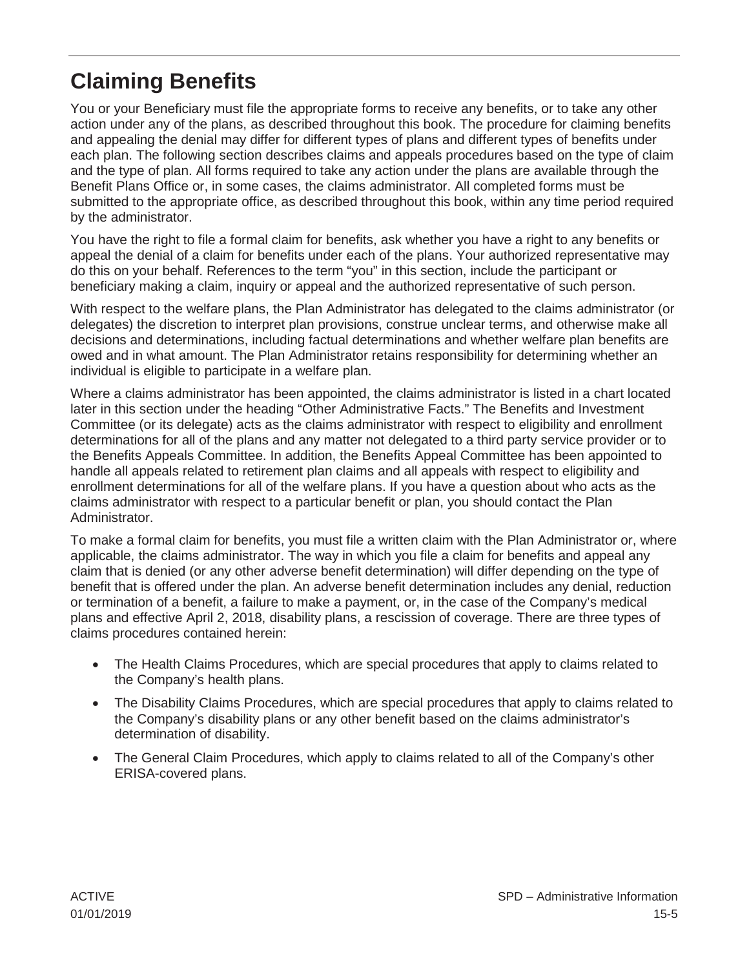## **Claiming Benefits**

You or your Beneficiary must file the appropriate forms to receive any benefits, or to take any other action under any of the plans, as described throughout this book. The procedure for claiming benefits and appealing the denial may differ for different types of plans and different types of benefits under each plan. The following section describes claims and appeals procedures based on the type of claim and the type of plan. All forms required to take any action under the plans are available through the Benefit Plans Office or, in some cases, the claims administrator. All completed forms must be submitted to the appropriate office, as described throughout this book, within any time period required by the administrator.

You have the right to file a formal claim for benefits, ask whether you have a right to any benefits or appeal the denial of a claim for benefits under each of the plans. Your authorized representative may do this on your behalf. References to the term "you" in this section, include the participant or beneficiary making a claim, inquiry or appeal and the authorized representative of such person.

With respect to the welfare plans, the Plan Administrator has delegated to the claims administrator (or delegates) the discretion to interpret plan provisions, construe unclear terms, and otherwise make all decisions and determinations, including factual determinations and whether welfare plan benefits are owed and in what amount. The Plan Administrator retains responsibility for determining whether an individual is eligible to participate in a welfare plan.

Where a claims administrator has been appointed, the claims administrator is listed in a chart located later in this section under the heading "Other Administrative Facts." The Benefits and Investment Committee (or its delegate) acts as the claims administrator with respect to eligibility and enrollment determinations for all of the plans and any matter not delegated to a third party service provider or to the Benefits Appeals Committee. In addition, the Benefits Appeal Committee has been appointed to handle all appeals related to retirement plan claims and all appeals with respect to eligibility and enrollment determinations for all of the welfare plans. If you have a question about who acts as the claims administrator with respect to a particular benefit or plan, you should contact the Plan Administrator.

To make a formal claim for benefits, you must file a written claim with the Plan Administrator or, where applicable, the claims administrator. The way in which you file a claim for benefits and appeal any claim that is denied (or any other adverse benefit determination) will differ depending on the type of benefit that is offered under the plan. An adverse benefit determination includes any denial, reduction or termination of a benefit, a failure to make a payment, or, in the case of the Company's medical plans and effective April 2, 2018, disability plans, a rescission of coverage. There are three types of claims procedures contained herein:

- The Health Claims Procedures, which are special procedures that apply to claims related to the Company's health plans.
- The Disability Claims Procedures, which are special procedures that apply to claims related to the Company's disability plans or any other benefit based on the claims administrator's determination of disability.
- The General Claim Procedures, which apply to claims related to all of the Company's other ERISA-covered plans.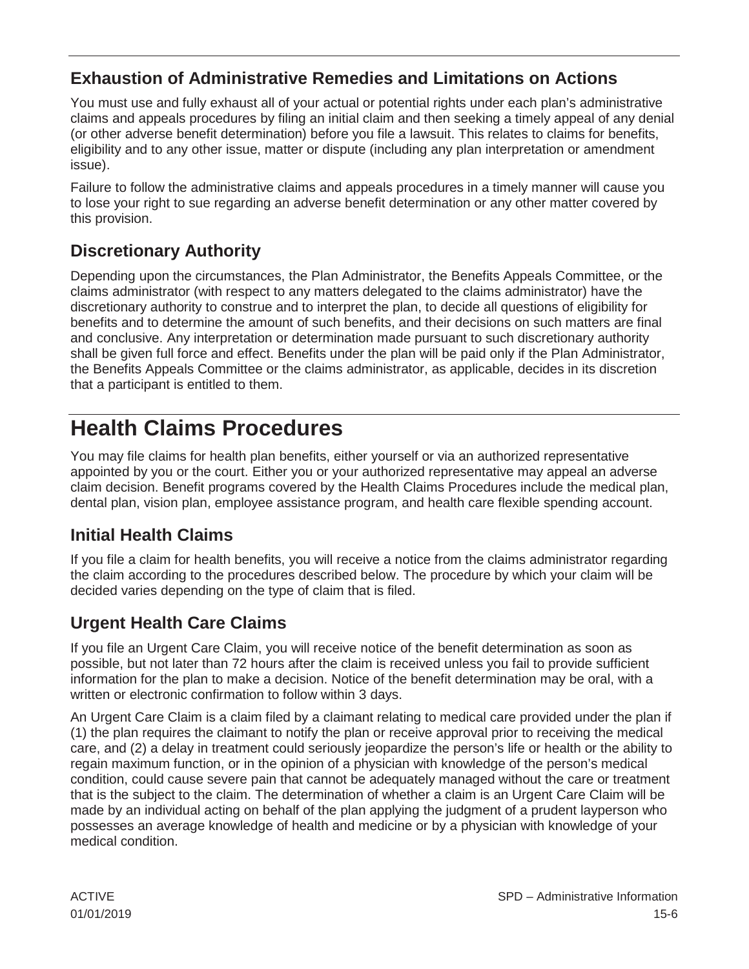#### **Exhaustion of Administrative Remedies and Limitations on Actions**

You must use and fully exhaust all of your actual or potential rights under each plan's administrative claims and appeals procedures by filing an initial claim and then seeking a timely appeal of any denial (or other adverse benefit determination) before you file a lawsuit. This relates to claims for benefits, eligibility and to any other issue, matter or dispute (including any plan interpretation or amendment issue).

Failure to follow the administrative claims and appeals procedures in a timely manner will cause you to lose your right to sue regarding an adverse benefit determination or any other matter covered by this provision.

#### **Discretionary Authority**

Depending upon the circumstances, the Plan Administrator, the Benefits Appeals Committee, or the claims administrator (with respect to any matters delegated to the claims administrator) have the discretionary authority to construe and to interpret the plan, to decide all questions of eligibility for benefits and to determine the amount of such benefits, and their decisions on such matters are final and conclusive. Any interpretation or determination made pursuant to such discretionary authority shall be given full force and effect. Benefits under the plan will be paid only if the Plan Administrator, the Benefits Appeals Committee or the claims administrator, as applicable, decides in its discretion that a participant is entitled to them.

## **Health Claims Procedures**

You may file claims for health plan benefits, either yourself or via an authorized representative appointed by you or the court. Either you or your authorized representative may appeal an adverse claim decision. Benefit programs covered by the Health Claims Procedures include the medical plan, dental plan, vision plan, employee assistance program, and health care flexible spending account.

#### **Initial Health Claims**

If you file a claim for health benefits, you will receive a notice from the claims administrator regarding the claim according to the procedures described below. The procedure by which your claim will be decided varies depending on the type of claim that is filed.

#### **Urgent Health Care Claims**

If you file an Urgent Care Claim, you will receive notice of the benefit determination as soon as possible, but not later than 72 hours after the claim is received unless you fail to provide sufficient information for the plan to make a decision. Notice of the benefit determination may be oral, with a written or electronic confirmation to follow within 3 days.

An Urgent Care Claim is a claim filed by a claimant relating to medical care provided under the plan if (1) the plan requires the claimant to notify the plan or receive approval prior to receiving the medical care, and (2) a delay in treatment could seriously jeopardize the person's life or health or the ability to regain maximum function, or in the opinion of a physician with knowledge of the person's medical condition, could cause severe pain that cannot be adequately managed without the care or treatment that is the subject to the claim. The determination of whether a claim is an Urgent Care Claim will be made by an individual acting on behalf of the plan applying the judgment of a prudent layperson who possesses an average knowledge of health and medicine or by a physician with knowledge of your medical condition.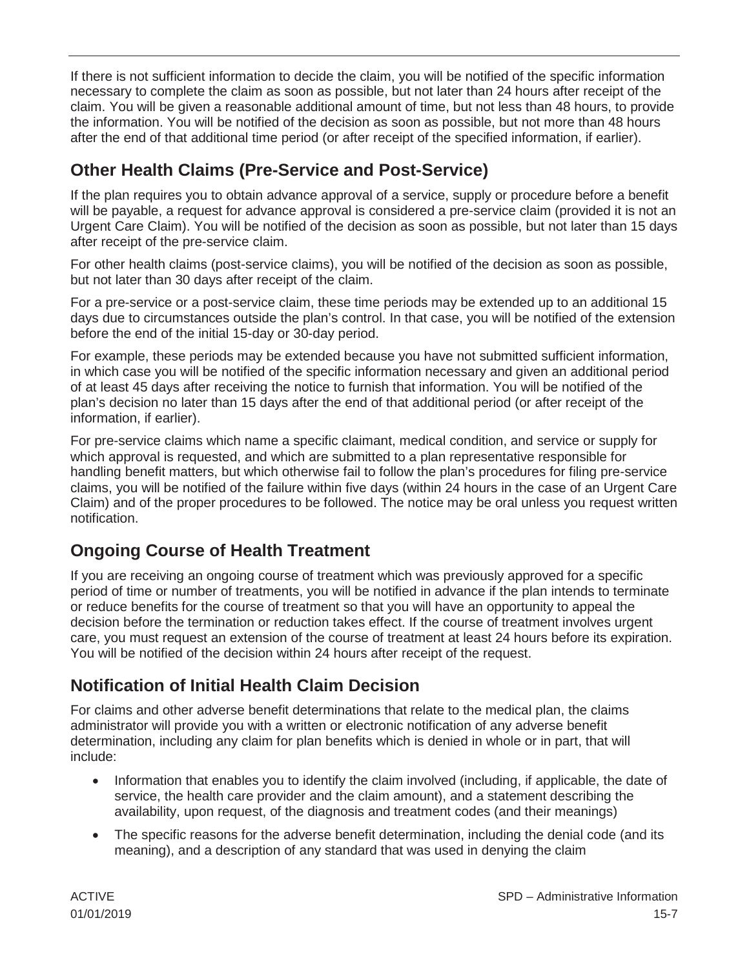If there is not sufficient information to decide the claim, you will be notified of the specific information necessary to complete the claim as soon as possible, but not later than 24 hours after receipt of the claim. You will be given a reasonable additional amount of time, but not less than 48 hours, to provide the information. You will be notified of the decision as soon as possible, but not more than 48 hours after the end of that additional time period (or after receipt of the specified information, if earlier).

#### **Other Health Claims (Pre-Service and Post-Service)**

If the plan requires you to obtain advance approval of a service, supply or procedure before a benefit will be payable, a request for advance approval is considered a pre-service claim (provided it is not an Urgent Care Claim). You will be notified of the decision as soon as possible, but not later than 15 days after receipt of the pre-service claim.

For other health claims (post-service claims), you will be notified of the decision as soon as possible, but not later than 30 days after receipt of the claim.

For a pre-service or a post-service claim, these time periods may be extended up to an additional 15 days due to circumstances outside the plan's control. In that case, you will be notified of the extension before the end of the initial 15-day or 30-day period.

For example, these periods may be extended because you have not submitted sufficient information, in which case you will be notified of the specific information necessary and given an additional period of at least 45 days after receiving the notice to furnish that information. You will be notified of the plan's decision no later than 15 days after the end of that additional period (or after receipt of the information, if earlier).

For pre-service claims which name a specific claimant, medical condition, and service or supply for which approval is requested, and which are submitted to a plan representative responsible for handling benefit matters, but which otherwise fail to follow the plan's procedures for filing pre-service claims, you will be notified of the failure within five days (within 24 hours in the case of an Urgent Care Claim) and of the proper procedures to be followed. The notice may be oral unless you request written notification.

#### **Ongoing Course of Health Treatment**

If you are receiving an ongoing course of treatment which was previously approved for a specific period of time or number of treatments, you will be notified in advance if the plan intends to terminate or reduce benefits for the course of treatment so that you will have an opportunity to appeal the decision before the termination or reduction takes effect. If the course of treatment involves urgent care, you must request an extension of the course of treatment at least 24 hours before its expiration. You will be notified of the decision within 24 hours after receipt of the request.

#### **Notification of Initial Health Claim Decision**

For claims and other adverse benefit determinations that relate to the medical plan, the claims administrator will provide you with a written or electronic notification of any adverse benefit determination, including any claim for plan benefits which is denied in whole or in part, that will include:

- Information that enables you to identify the claim involved (including, if applicable, the date of service, the health care provider and the claim amount), and a statement describing the availability, upon request, of the diagnosis and treatment codes (and their meanings)
- The specific reasons for the adverse benefit determination, including the denial code (and its meaning), and a description of any standard that was used in denying the claim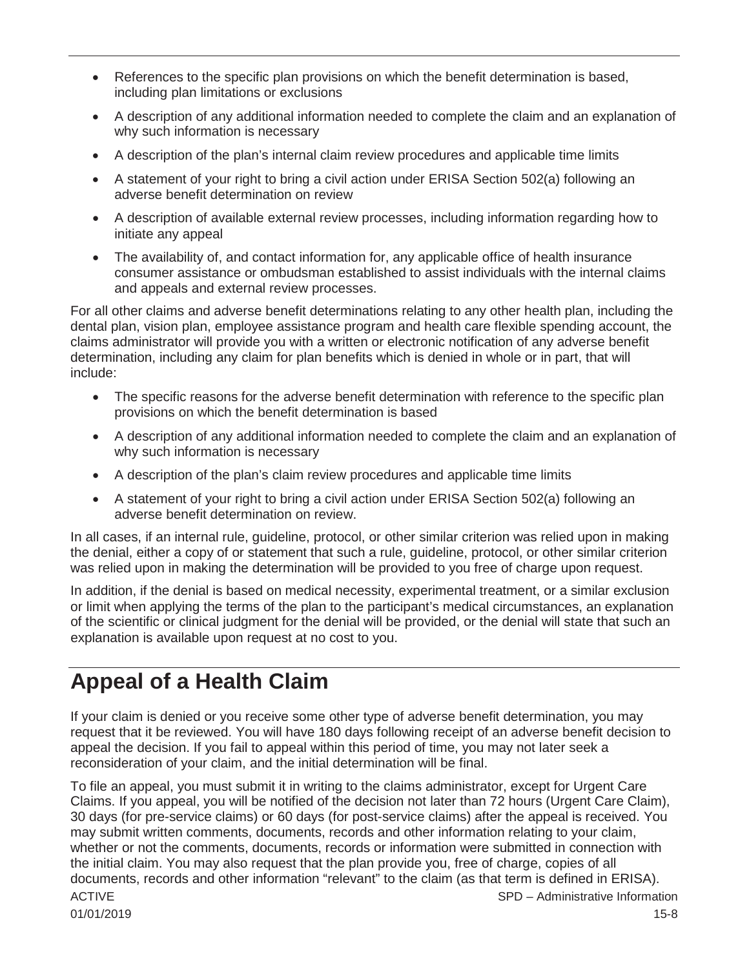- References to the specific plan provisions on which the benefit determination is based, including plan limitations or exclusions
- A description of any additional information needed to complete the claim and an explanation of why such information is necessary
- A description of the plan's internal claim review procedures and applicable time limits
- A statement of your right to bring a civil action under ERISA Section 502(a) following an adverse benefit determination on review
- A description of available external review processes, including information regarding how to initiate any appeal
- The availability of, and contact information for, any applicable office of health insurance consumer assistance or ombudsman established to assist individuals with the internal claims and appeals and external review processes.

For all other claims and adverse benefit determinations relating to any other health plan, including the dental plan, vision plan, employee assistance program and health care flexible spending account, the claims administrator will provide you with a written or electronic notification of any adverse benefit determination, including any claim for plan benefits which is denied in whole or in part, that will include:

- The specific reasons for the adverse benefit determination with reference to the specific plan provisions on which the benefit determination is based
- A description of any additional information needed to complete the claim and an explanation of why such information is necessary
- A description of the plan's claim review procedures and applicable time limits
- A statement of your right to bring a civil action under ERISA Section 502(a) following an adverse benefit determination on review.

In all cases, if an internal rule, guideline, protocol, or other similar criterion was relied upon in making the denial, either a copy of or statement that such a rule, guideline, protocol, or other similar criterion was relied upon in making the determination will be provided to you free of charge upon request.

In addition, if the denial is based on medical necessity, experimental treatment, or a similar exclusion or limit when applying the terms of the plan to the participant's medical circumstances, an explanation of the scientific or clinical judgment for the denial will be provided, or the denial will state that such an explanation is available upon request at no cost to you.

## **Appeal of a Health Claim**

If your claim is denied or you receive some other type of adverse benefit determination, you may request that it be reviewed. You will have 180 days following receipt of an adverse benefit decision to appeal the decision. If you fail to appeal within this period of time, you may not later seek a reconsideration of your claim, and the initial determination will be final.

ACTIVE ACTIVE ASSESSMENT OF THE SPON SPD – Administrative Information 01/01/2019 15-8 To file an appeal, you must submit it in writing to the claims administrator, except for Urgent Care Claims. If you appeal, you will be notified of the decision not later than 72 hours (Urgent Care Claim), 30 days (for pre-service claims) or 60 days (for post-service claims) after the appeal is received. You may submit written comments, documents, records and other information relating to your claim, whether or not the comments, documents, records or information were submitted in connection with the initial claim. You may also request that the plan provide you, free of charge, copies of all documents, records and other information "relevant" to the claim (as that term is defined in ERISA).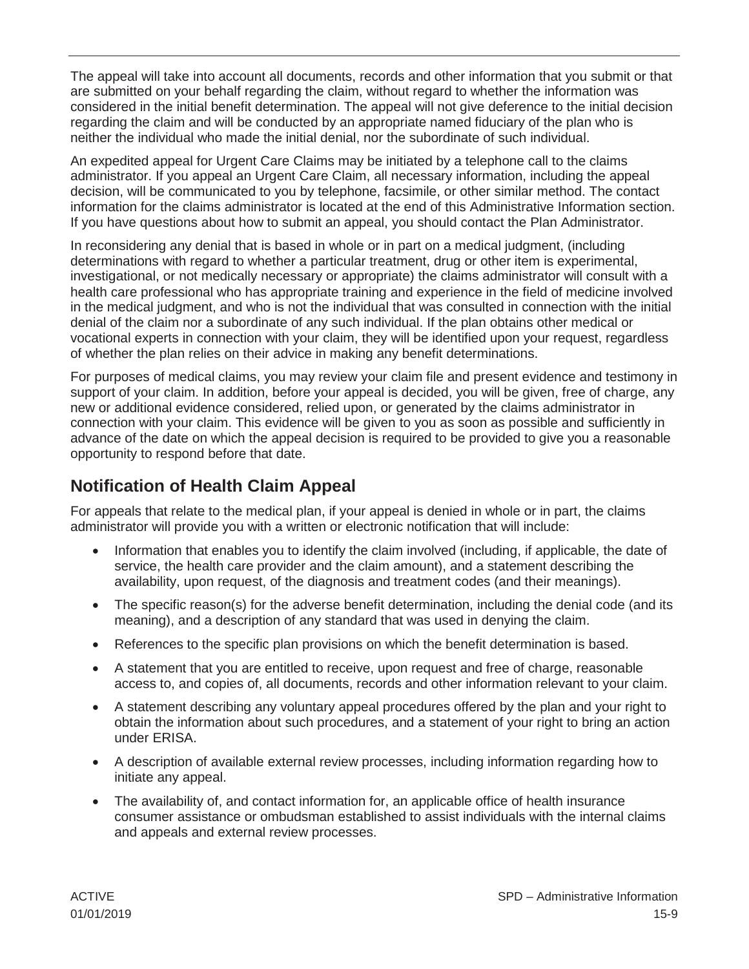The appeal will take into account all documents, records and other information that you submit or that are submitted on your behalf regarding the claim, without regard to whether the information was considered in the initial benefit determination. The appeal will not give deference to the initial decision regarding the claim and will be conducted by an appropriate named fiduciary of the plan who is neither the individual who made the initial denial, nor the subordinate of such individual.

An expedited appeal for Urgent Care Claims may be initiated by a telephone call to the claims administrator. If you appeal an Urgent Care Claim, all necessary information, including the appeal decision, will be communicated to you by telephone, facsimile, or other similar method. The contact information for the claims administrator is located at the end of this Administrative Information section. If you have questions about how to submit an appeal, you should contact the Plan Administrator.

In reconsidering any denial that is based in whole or in part on a medical judgment, (including determinations with regard to whether a particular treatment, drug or other item is experimental, investigational, or not medically necessary or appropriate) the claims administrator will consult with a health care professional who has appropriate training and experience in the field of medicine involved in the medical judgment, and who is not the individual that was consulted in connection with the initial denial of the claim nor a subordinate of any such individual. If the plan obtains other medical or vocational experts in connection with your claim, they will be identified upon your request, regardless of whether the plan relies on their advice in making any benefit determinations.

For purposes of medical claims, you may review your claim file and present evidence and testimony in support of your claim. In addition, before your appeal is decided, you will be given, free of charge, any new or additional evidence considered, relied upon, or generated by the claims administrator in connection with your claim. This evidence will be given to you as soon as possible and sufficiently in advance of the date on which the appeal decision is required to be provided to give you a reasonable opportunity to respond before that date.

#### **Notification of Health Claim Appeal**

For appeals that relate to the medical plan, if your appeal is denied in whole or in part, the claims administrator will provide you with a written or electronic notification that will include:

- Information that enables you to identify the claim involved (including, if applicable, the date of service, the health care provider and the claim amount), and a statement describing the availability, upon request, of the diagnosis and treatment codes (and their meanings).
- $\bullet$  The specific reason(s) for the adverse benefit determination, including the denial code (and its meaning), and a description of any standard that was used in denying the claim.
- References to the specific plan provisions on which the benefit determination is based.
- A statement that you are entitled to receive, upon request and free of charge, reasonable access to, and copies of, all documents, records and other information relevant to your claim.
- A statement describing any voluntary appeal procedures offered by the plan and your right to obtain the information about such procedures, and a statement of your right to bring an action under ERISA.
- A description of available external review processes, including information regarding how to initiate any appeal.
- The availability of, and contact information for, an applicable office of health insurance consumer assistance or ombudsman established to assist individuals with the internal claims and appeals and external review processes.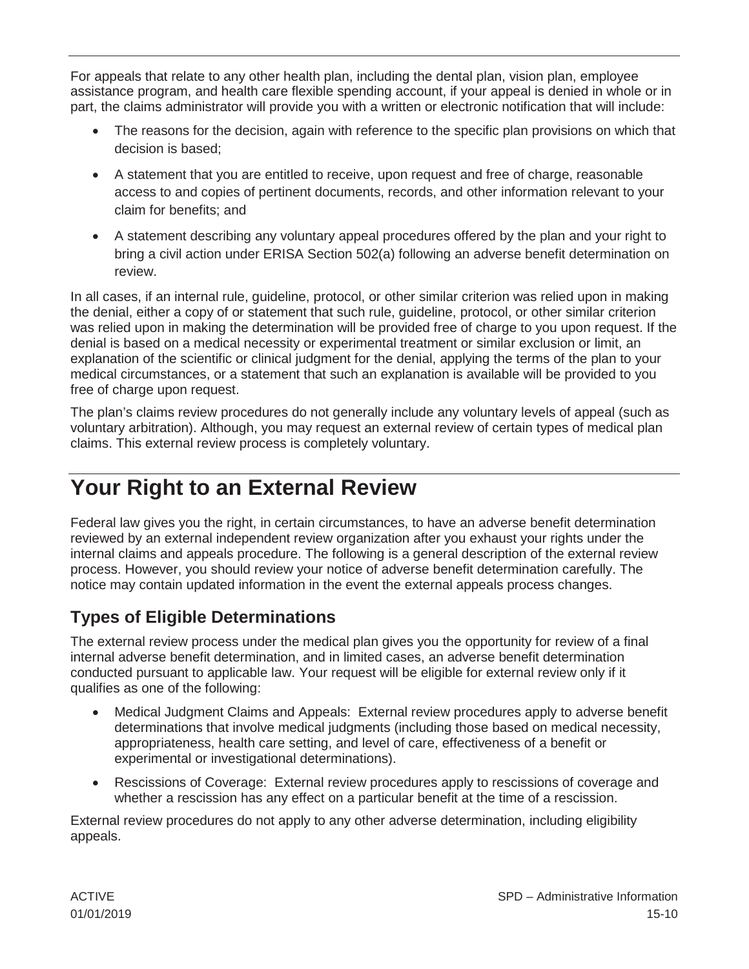For appeals that relate to any other health plan, including the dental plan, vision plan, employee assistance program, and health care flexible spending account, if your appeal is denied in whole or in part, the claims administrator will provide you with a written or electronic notification that will include:

- The reasons for the decision, again with reference to the specific plan provisions on which that decision is based;
- A statement that you are entitled to receive, upon request and free of charge, reasonable access to and copies of pertinent documents, records, and other information relevant to your claim for benefits; and
- A statement describing any voluntary appeal procedures offered by the plan and your right to bring a civil action under ERISA Section 502(a) following an adverse benefit determination on review.

In all cases, if an internal rule, guideline, protocol, or other similar criterion was relied upon in making the denial, either a copy of or statement that such rule, guideline, protocol, or other similar criterion was relied upon in making the determination will be provided free of charge to you upon request. If the denial is based on a medical necessity or experimental treatment or similar exclusion or limit, an explanation of the scientific or clinical judgment for the denial, applying the terms of the plan to your medical circumstances, or a statement that such an explanation is available will be provided to you free of charge upon request.

The plan's claims review procedures do not generally include any voluntary levels of appeal (such as voluntary arbitration). Although, you may request an external review of certain types of medical plan claims. This external review process is completely voluntary.

## **Your Right to an External Review**

Federal law gives you the right, in certain circumstances, to have an adverse benefit determination reviewed by an external independent review organization after you exhaust your rights under the internal claims and appeals procedure. The following is a general description of the external review process. However, you should review your notice of adverse benefit determination carefully. The notice may contain updated information in the event the external appeals process changes.

### **Types of Eligible Determinations**

The external review process under the medical plan gives you the opportunity for review of a final internal adverse benefit determination, and in limited cases, an adverse benefit determination conducted pursuant to applicable law. Your request will be eligible for external review only if it qualifies as one of the following:

- Medical Judgment Claims and Appeals: External review procedures apply to adverse benefit determinations that involve medical judgments (including those based on medical necessity, appropriateness, health care setting, and level of care, effectiveness of a benefit or experimental or investigational determinations).
- Rescissions of Coverage: External review procedures apply to rescissions of coverage and whether a rescission has any effect on a particular benefit at the time of a rescission.

External review procedures do not apply to any other adverse determination, including eligibility appeals.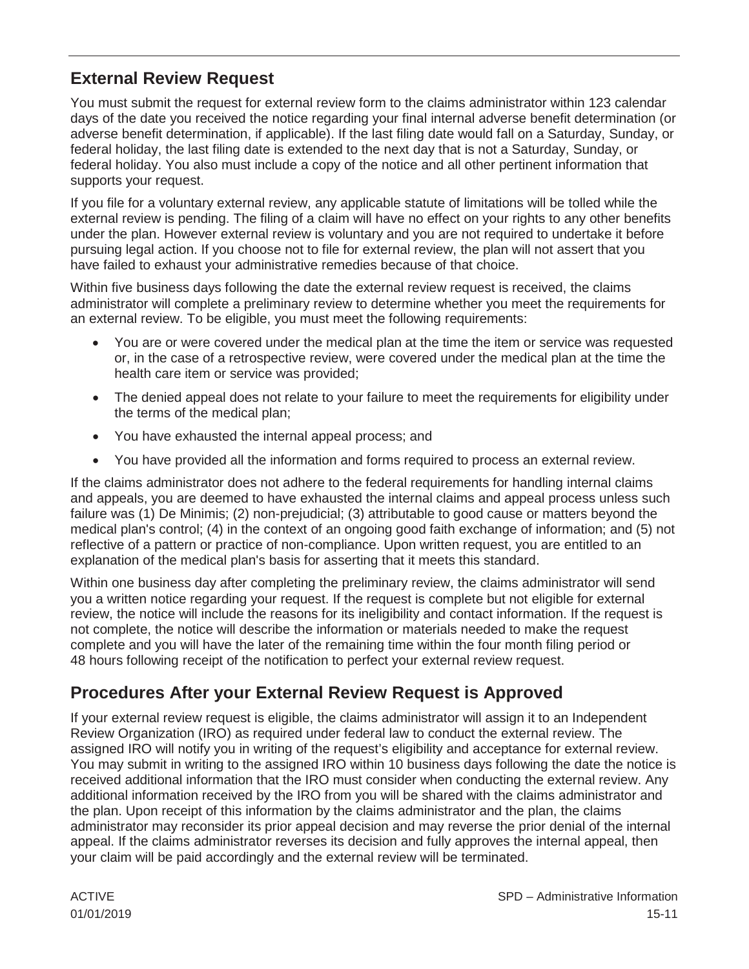#### **External Review Request**

You must submit the request for external review form to the claims administrator within 123 calendar days of the date you received the notice regarding your final internal adverse benefit determination (or adverse benefit determination, if applicable). If the last filing date would fall on a Saturday, Sunday, or federal holiday, the last filing date is extended to the next day that is not a Saturday, Sunday, or federal holiday. You also must include a copy of the notice and all other pertinent information that supports your request.

If you file for a voluntary external review, any applicable statute of limitations will be tolled while the external review is pending. The filing of a claim will have no effect on your rights to any other benefits under the plan. However external review is voluntary and you are not required to undertake it before pursuing legal action. If you choose not to file for external review, the plan will not assert that you have failed to exhaust your administrative remedies because of that choice.

Within five business days following the date the external review request is received, the claims administrator will complete a preliminary review to determine whether you meet the requirements for an external review. To be eligible, you must meet the following requirements:

- You are or were covered under the medical plan at the time the item or service was requested or, in the case of a retrospective review, were covered under the medical plan at the time the health care item or service was provided;
- The denied appeal does not relate to your failure to meet the requirements for eligibility under the terms of the medical plan;
- You have exhausted the internal appeal process; and
- You have provided all the information and forms required to process an external review.

If the claims administrator does not adhere to the federal requirements for handling internal claims and appeals, you are deemed to have exhausted the internal claims and appeal process unless such failure was (1) De Minimis; (2) non-prejudicial; (3) attributable to good cause or matters beyond the medical plan's control; (4) in the context of an ongoing good faith exchange of information; and (5) not reflective of a pattern or practice of non-compliance. Upon written request, you are entitled to an explanation of the medical plan's basis for asserting that it meets this standard.

Within one business day after completing the preliminary review, the claims administrator will send you a written notice regarding your request. If the request is complete but not eligible for external review, the notice will include the reasons for its ineligibility and contact information. If the request is not complete, the notice will describe the information or materials needed to make the request complete and you will have the later of the remaining time within the four month filing period or 48 hours following receipt of the notification to perfect your external review request.

#### **Procedures After your External Review Request is Approved**

If your external review request is eligible, the claims administrator will assign it to an Independent Review Organization (IRO) as required under federal law to conduct the external review. The assigned IRO will notify you in writing of the request's eligibility and acceptance for external review. You may submit in writing to the assigned IRO within 10 business days following the date the notice is received additional information that the IRO must consider when conducting the external review. Any additional information received by the IRO from you will be shared with the claims administrator and the plan. Upon receipt of this information by the claims administrator and the plan, the claims administrator may reconsider its prior appeal decision and may reverse the prior denial of the internal appeal. If the claims administrator reverses its decision and fully approves the internal appeal, then your claim will be paid accordingly and the external review will be terminated.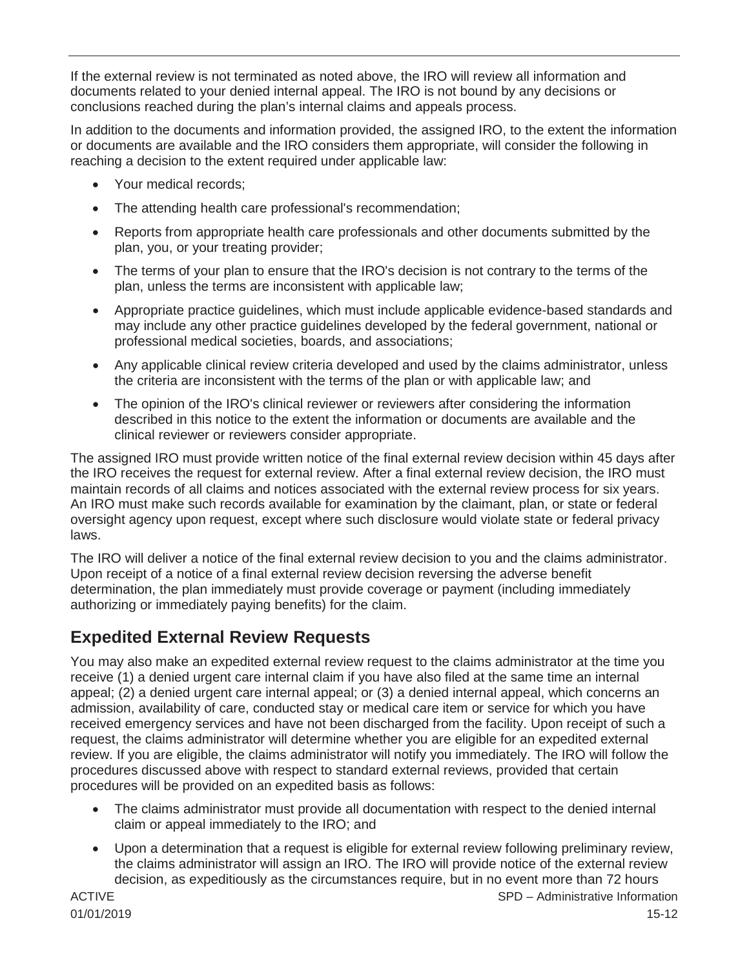If the external review is not terminated as noted above, the IRO will review all information and documents related to your denied internal appeal. The IRO is not bound by any decisions or conclusions reached during the plan's internal claims and appeals process.

In addition to the documents and information provided, the assigned IRO, to the extent the information or documents are available and the IRO considers them appropriate, will consider the following in reaching a decision to the extent required under applicable law:

- Your medical records:
- The attending health care professional's recommendation;
- Reports from appropriate health care professionals and other documents submitted by the plan, you, or your treating provider;
- The terms of your plan to ensure that the IRO's decision is not contrary to the terms of the plan, unless the terms are inconsistent with applicable law;
- Appropriate practice guidelines, which must include applicable evidence-based standards and may include any other practice guidelines developed by the federal government, national or professional medical societies, boards, and associations;
- Any applicable clinical review criteria developed and used by the claims administrator, unless the criteria are inconsistent with the terms of the plan or with applicable law; and
- The opinion of the IRO's clinical reviewer or reviewers after considering the information described in this notice to the extent the information or documents are available and the clinical reviewer or reviewers consider appropriate.

The assigned IRO must provide written notice of the final external review decision within 45 days after the IRO receives the request for external review. After a final external review decision, the IRO must maintain records of all claims and notices associated with the external review process for six years. An IRO must make such records available for examination by the claimant, plan, or state or federal oversight agency upon request, except where such disclosure would violate state or federal privacy laws.

The IRO will deliver a notice of the final external review decision to you and the claims administrator. Upon receipt of a notice of a final external review decision reversing the adverse benefit determination, the plan immediately must provide coverage or payment (including immediately authorizing or immediately paying benefits) for the claim.

### **Expedited External Review Requests**

You may also make an expedited external review request to the claims administrator at the time you receive (1) a denied urgent care internal claim if you have also filed at the same time an internal appeal; (2) a denied urgent care internal appeal; or (3) a denied internal appeal, which concerns an admission, availability of care, conducted stay or medical care item or service for which you have received emergency services and have not been discharged from the facility. Upon receipt of such a request, the claims administrator will determine whether you are eligible for an expedited external review. If you are eligible, the claims administrator will notify you immediately. The IRO will follow the procedures discussed above with respect to standard external reviews, provided that certain procedures will be provided on an expedited basis as follows:

- The claims administrator must provide all documentation with respect to the denied internal claim or appeal immediately to the IRO; and
- Upon a determination that a request is eligible for external review following preliminary review, the claims administrator will assign an IRO. The IRO will provide notice of the external review decision, as expeditiously as the circumstances require, but in no event more than 72 hours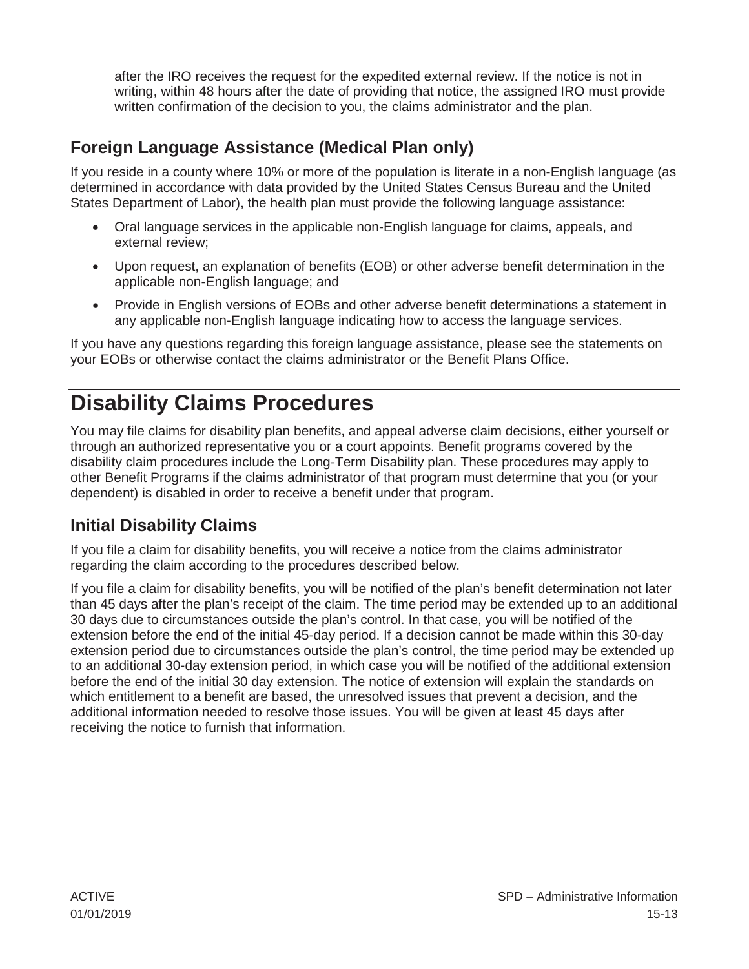after the IRO receives the request for the expedited external review. If the notice is not in writing, within 48 hours after the date of providing that notice, the assigned IRO must provide written confirmation of the decision to you, the claims administrator and the plan.

#### **Foreign Language Assistance (Medical Plan only)**

If you reside in a county where 10% or more of the population is literate in a non-English language (as determined in accordance with data provided by the United States Census Bureau and the United States Department of Labor), the health plan must provide the following language assistance:

- Oral language services in the applicable non-English language for claims, appeals, and external review;
- Upon request, an explanation of benefits (EOB) or other adverse benefit determination in the applicable non-English language; and
- Provide in English versions of EOBs and other adverse benefit determinations a statement in any applicable non-English language indicating how to access the language services.

If you have any questions regarding this foreign language assistance, please see the statements on your EOBs or otherwise contact the claims administrator or the Benefit Plans Office.

## **Disability Claims Procedures**

You may file claims for disability plan benefits, and appeal adverse claim decisions, either yourself or through an authorized representative you or a court appoints. Benefit programs covered by the disability claim procedures include the Long-Term Disability plan. These procedures may apply to other Benefit Programs if the claims administrator of that program must determine that you (or your dependent) is disabled in order to receive a benefit under that program.

#### **Initial Disability Claims**

If you file a claim for disability benefits, you will receive a notice from the claims administrator regarding the claim according to the procedures described below.

If you file a claim for disability benefits, you will be notified of the plan's benefit determination not later than 45 days after the plan's receipt of the claim. The time period may be extended up to an additional 30 days due to circumstances outside the plan's control. In that case, you will be notified of the extension before the end of the initial 45-day period. If a decision cannot be made within this 30-day extension period due to circumstances outside the plan's control, the time period may be extended up to an additional 30-day extension period, in which case you will be notified of the additional extension before the end of the initial 30 day extension. The notice of extension will explain the standards on which entitlement to a benefit are based, the unresolved issues that prevent a decision, and the additional information needed to resolve those issues. You will be given at least 45 days after receiving the notice to furnish that information.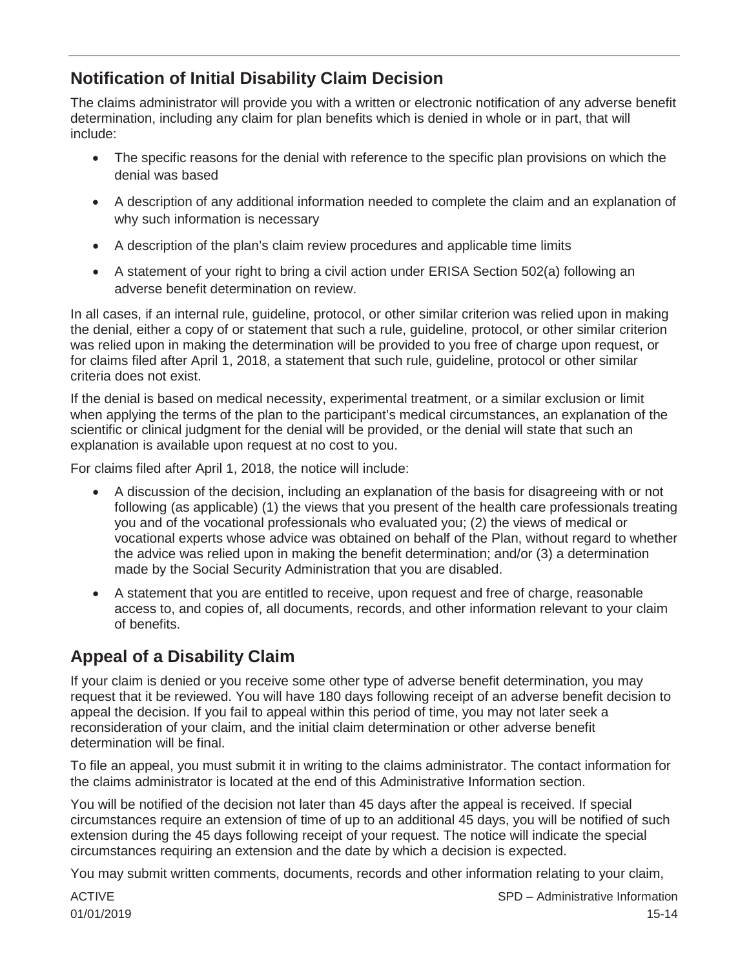#### **Notification of Initial Disability Claim Decision**

The claims administrator will provide you with a written or electronic notification of any adverse benefit determination, including any claim for plan benefits which is denied in whole or in part, that will include:

- The specific reasons for the denial with reference to the specific plan provisions on which the denial was based
- A description of any additional information needed to complete the claim and an explanation of why such information is necessary
- A description of the plan's claim review procedures and applicable time limits
- A statement of your right to bring a civil action under ERISA Section 502(a) following an adverse benefit determination on review.

In all cases, if an internal rule, guideline, protocol, or other similar criterion was relied upon in making the denial, either a copy of or statement that such a rule, guideline, protocol, or other similar criterion was relied upon in making the determination will be provided to you free of charge upon request, or for claims filed after April 1, 2018, a statement that such rule, quideline, protocol or other similar criteria does not exist.

If the denial is based on medical necessity, experimental treatment, or a similar exclusion or limit when applying the terms of the plan to the participant's medical circumstances, an explanation of the scientific or clinical judgment for the denial will be provided, or the denial will state that such an explanation is available upon request at no cost to you.

For claims filed after April 1, 2018, the notice will include:

- A discussion of the decision, including an explanation of the basis for disagreeing with or not following (as applicable) (1) the views that you present of the health care professionals treating you and of the vocational professionals who evaluated you; (2) the views of medical or vocational experts whose advice was obtained on behalf of the Plan, without regard to whether the advice was relied upon in making the benefit determination; and/or (3) a determination made by the Social Security Administration that you are disabled.
- A statement that you are entitled to receive, upon request and free of charge, reasonable access to, and copies of, all documents, records, and other information relevant to your claim of benefits.

### **Appeal of a Disability Claim**

If your claim is denied or you receive some other type of adverse benefit determination, you may request that it be reviewed. You will have 180 days following receipt of an adverse benefit decision to appeal the decision. If you fail to appeal within this period of time, you may not later seek a reconsideration of your claim, and the initial claim determination or other adverse benefit determination will be final.

To file an appeal, you must submit it in writing to the claims administrator. The contact information for the claims administrator is located at the end of this Administrative Information section.

You will be notified of the decision not later than 45 days after the appeal is received. If special circumstances require an extension of time of up to an additional 45 days, you will be notified of such extension during the 45 days following receipt of your request. The notice will indicate the special circumstances requiring an extension and the date by which a decision is expected.

You may submit written comments, documents, records and other information relating to your claim,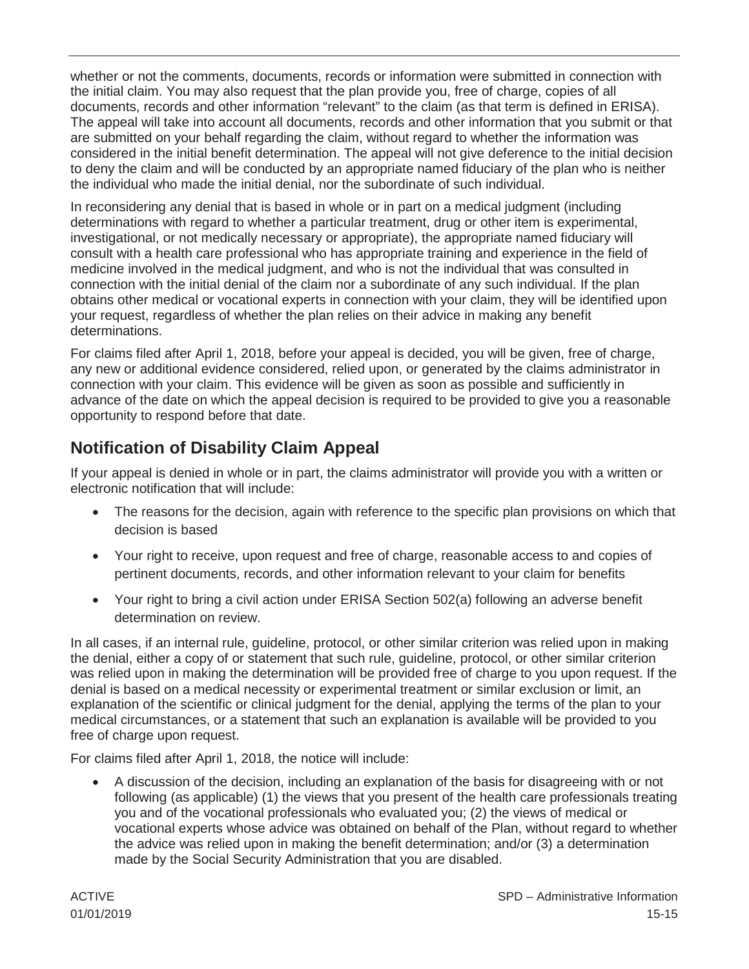whether or not the comments, documents, records or information were submitted in connection with the initial claim. You may also request that the plan provide you, free of charge, copies of all documents, records and other information "relevant" to the claim (as that term is defined in ERISA). The appeal will take into account all documents, records and other information that you submit or that are submitted on your behalf regarding the claim, without regard to whether the information was considered in the initial benefit determination. The appeal will not give deference to the initial decision to deny the claim and will be conducted by an appropriate named fiduciary of the plan who is neither the individual who made the initial denial, nor the subordinate of such individual.

In reconsidering any denial that is based in whole or in part on a medical judgment (including determinations with regard to whether a particular treatment, drug or other item is experimental, investigational, or not medically necessary or appropriate), the appropriate named fiduciary will consult with a health care professional who has appropriate training and experience in the field of medicine involved in the medical judgment, and who is not the individual that was consulted in connection with the initial denial of the claim nor a subordinate of any such individual. If the plan obtains other medical or vocational experts in connection with your claim, they will be identified upon your request, regardless of whether the plan relies on their advice in making any benefit determinations.

For claims filed after April 1, 2018, before your appeal is decided, you will be given, free of charge, any new or additional evidence considered, relied upon, or generated by the claims administrator in connection with your claim. This evidence will be given as soon as possible and sufficiently in advance of the date on which the appeal decision is required to be provided to give you a reasonable opportunity to respond before that date.

#### **Notification of Disability Claim Appeal**

If your appeal is denied in whole or in part, the claims administrator will provide you with a written or electronic notification that will include:

- The reasons for the decision, again with reference to the specific plan provisions on which that decision is based
- Your right to receive, upon request and free of charge, reasonable access to and copies of pertinent documents, records, and other information relevant to your claim for benefits
- Your right to bring a civil action under ERISA Section 502(a) following an adverse benefit determination on review.

In all cases, if an internal rule, guideline, protocol, or other similar criterion was relied upon in making the denial, either a copy of or statement that such rule, guideline, protocol, or other similar criterion was relied upon in making the determination will be provided free of charge to you upon request. If the denial is based on a medical necessity or experimental treatment or similar exclusion or limit, an explanation of the scientific or clinical judgment for the denial, applying the terms of the plan to your medical circumstances, or a statement that such an explanation is available will be provided to you free of charge upon request.

For claims filed after April 1, 2018, the notice will include:

• A discussion of the decision, including an explanation of the basis for disagreeing with or not following (as applicable) (1) the views that you present of the health care professionals treating you and of the vocational professionals who evaluated you; (2) the views of medical or vocational experts whose advice was obtained on behalf of the Plan, without regard to whether the advice was relied upon in making the benefit determination; and/or (3) a determination made by the Social Security Administration that you are disabled.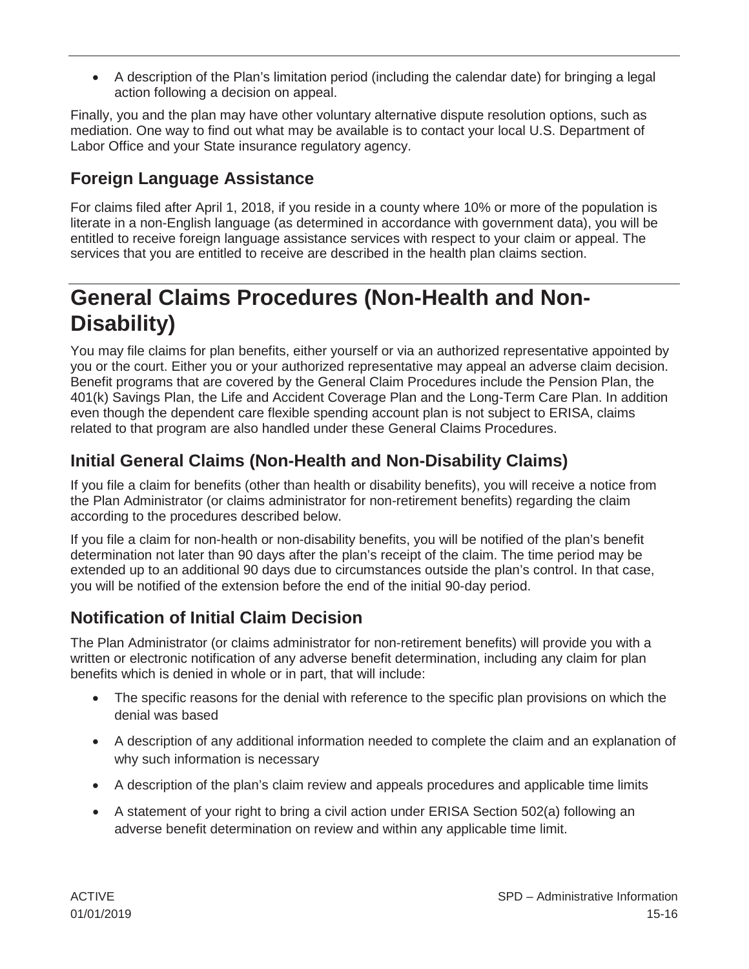x A description of the Plan's limitation period (including the calendar date) for bringing a legal action following a decision on appeal.

Finally, you and the plan may have other voluntary alternative dispute resolution options, such as mediation. One way to find out what may be available is to contact your local U.S. Department of Labor Office and your State insurance regulatory agency.

#### **Foreign Language Assistance**

For claims filed after April 1, 2018, if you reside in a county where 10% or more of the population is literate in a non-English language (as determined in accordance with government data), you will be entitled to receive foreign language assistance services with respect to your claim or appeal. The services that you are entitled to receive are described in the health plan claims section.

## **General Claims Procedures (Non-Health and Non-Disability)**

You may file claims for plan benefits, either yourself or via an authorized representative appointed by you or the court. Either you or your authorized representative may appeal an adverse claim decision. Benefit programs that are covered by the General Claim Procedures include the Pension Plan, the 401(k) Savings Plan, the Life and Accident Coverage Plan and the Long-Term Care Plan. In addition even though the dependent care flexible spending account plan is not subject to ERISA, claims related to that program are also handled under these General Claims Procedures.

### **Initial General Claims (Non-Health and Non-Disability Claims)**

If you file a claim for benefits (other than health or disability benefits), you will receive a notice from the Plan Administrator (or claims administrator for non-retirement benefits) regarding the claim according to the procedures described below.

If you file a claim for non-health or non-disability benefits, you will be notified of the plan's benefit determination not later than 90 days after the plan's receipt of the claim. The time period may be extended up to an additional 90 days due to circumstances outside the plan's control. In that case, you will be notified of the extension before the end of the initial 90-day period.

### **Notification of Initial Claim Decision**

The Plan Administrator (or claims administrator for non-retirement benefits) will provide you with a written or electronic notification of any adverse benefit determination, including any claim for plan benefits which is denied in whole or in part, that will include:

- The specific reasons for the denial with reference to the specific plan provisions on which the denial was based
- A description of any additional information needed to complete the claim and an explanation of why such information is necessary
- A description of the plan's claim review and appeals procedures and applicable time limits
- A statement of your right to bring a civil action under ERISA Section 502(a) following an adverse benefit determination on review and within any applicable time limit.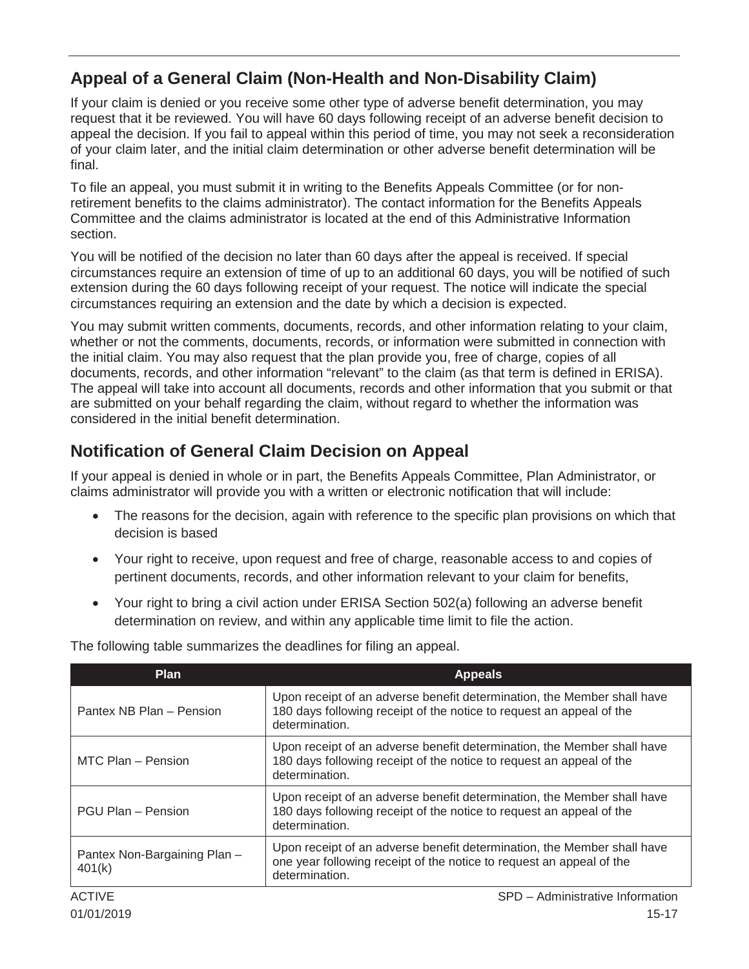### **Appeal of a General Claim (Non-Health and Non-Disability Claim)**

If your claim is denied or you receive some other type of adverse benefit determination, you may request that it be reviewed. You will have 60 days following receipt of an adverse benefit decision to appeal the decision. If you fail to appeal within this period of time, you may not seek a reconsideration of your claim later, and the initial claim determination or other adverse benefit determination will be final.

To file an appeal, you must submit it in writing to the Benefits Appeals Committee (or for nonretirement benefits to the claims administrator). The contact information for the Benefits Appeals Committee and the claims administrator is located at the end of this Administrative Information section.

You will be notified of the decision no later than 60 days after the appeal is received. If special circumstances require an extension of time of up to an additional 60 days, you will be notified of such extension during the 60 days following receipt of your request. The notice will indicate the special circumstances requiring an extension and the date by which a decision is expected.

You may submit written comments, documents, records, and other information relating to your claim, whether or not the comments, documents, records, or information were submitted in connection with the initial claim. You may also request that the plan provide you, free of charge, copies of all documents, records, and other information "relevant" to the claim (as that term is defined in ERISA). The appeal will take into account all documents, records and other information that you submit or that are submitted on your behalf regarding the claim, without regard to whether the information was considered in the initial benefit determination.

### **Notification of General Claim Decision on Appeal**

If your appeal is denied in whole or in part, the Benefits Appeals Committee, Plan Administrator, or claims administrator will provide you with a written or electronic notification that will include:

- The reasons for the decision, again with reference to the specific plan provisions on which that decision is based
- Your right to receive, upon request and free of charge, reasonable access to and copies of pertinent documents, records, and other information relevant to your claim for benefits,
- Your right to bring a civil action under ERISA Section 502(a) following an adverse benefit determination on review, and within any applicable time limit to file the action.

| <b>Plan</b>                            | <b>Appeals</b>                                                                                                                                                    |
|----------------------------------------|-------------------------------------------------------------------------------------------------------------------------------------------------------------------|
| Pantex NB Plan - Pension               | Upon receipt of an adverse benefit determination, the Member shall have<br>180 days following receipt of the notice to request an appeal of the<br>determination. |
| MTC Plan - Pension                     | Upon receipt of an adverse benefit determination, the Member shall have<br>180 days following receipt of the notice to request an appeal of the<br>determination. |
| PGU Plan - Pension                     | Upon receipt of an adverse benefit determination, the Member shall have<br>180 days following receipt of the notice to request an appeal of the<br>determination. |
| Pantex Non-Bargaining Plan -<br>401(k) | Upon receipt of an adverse benefit determination, the Member shall have<br>one year following receipt of the notice to request an appeal of the<br>determination. |
| <b>ACTIVE</b>                          | SPD - Administrative Information                                                                                                                                  |

The following table summarizes the deadlines for filing an appeal.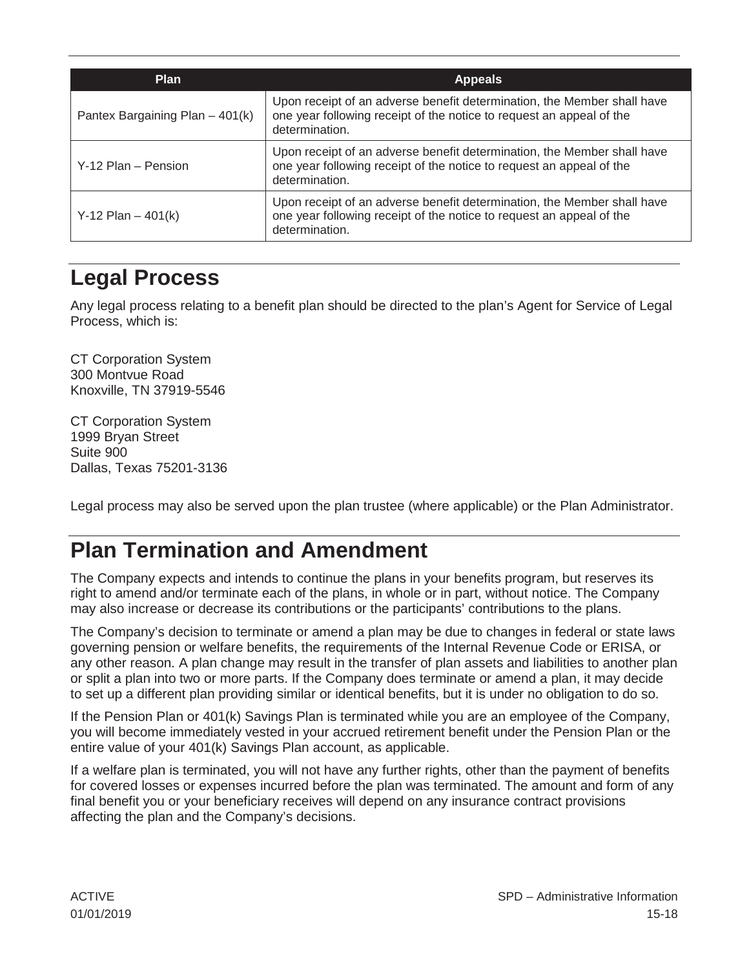| <b>Plan</b>                     | <b>Appeals</b>                                                                                                                                                    |
|---------------------------------|-------------------------------------------------------------------------------------------------------------------------------------------------------------------|
| Pantex Bargaining Plan - 401(k) | Upon receipt of an adverse benefit determination, the Member shall have<br>one year following receipt of the notice to request an appeal of the<br>determination. |
| Y-12 Plan - Pension             | Upon receipt of an adverse benefit determination, the Member shall have<br>one year following receipt of the notice to request an appeal of the<br>determination. |
| $Y-12$ Plan – 401(k)            | Upon receipt of an adverse benefit determination, the Member shall have<br>one year following receipt of the notice to request an appeal of the<br>determination. |

## **Legal Process**

Any legal process relating to a benefit plan should be directed to the plan's Agent for Service of Legal Process, which is:

CT Corporation System 300 Montvue Road Knoxville, TN 37919-5546

CT Corporation System 1999 Bryan Street Suite 900 Dallas, Texas 75201-3136

Legal process may also be served upon the plan trustee (where applicable) or the Plan Administrator.

## **Plan Termination and Amendment**

The Company expects and intends to continue the plans in your benefits program, but reserves its right to amend and/or terminate each of the plans, in whole or in part, without notice. The Company may also increase or decrease its contributions or the participants' contributions to the plans.

The Company's decision to terminate or amend a plan may be due to changes in federal or state laws governing pension or welfare benefits, the requirements of the Internal Revenue Code or ERISA, or any other reason. A plan change may result in the transfer of plan assets and liabilities to another plan or split a plan into two or more parts. If the Company does terminate or amend a plan, it may decide to set up a different plan providing similar or identical benefits, but it is under no obligation to do so.

If the Pension Plan or 401(k) Savings Plan is terminated while you are an employee of the Company, you will become immediately vested in your accrued retirement benefit under the Pension Plan or the entire value of your 401(k) Savings Plan account, as applicable.

If a welfare plan is terminated, you will not have any further rights, other than the payment of benefits for covered losses or expenses incurred before the plan was terminated. The amount and form of any final benefit you or your beneficiary receives will depend on any insurance contract provisions affecting the plan and the Company's decisions.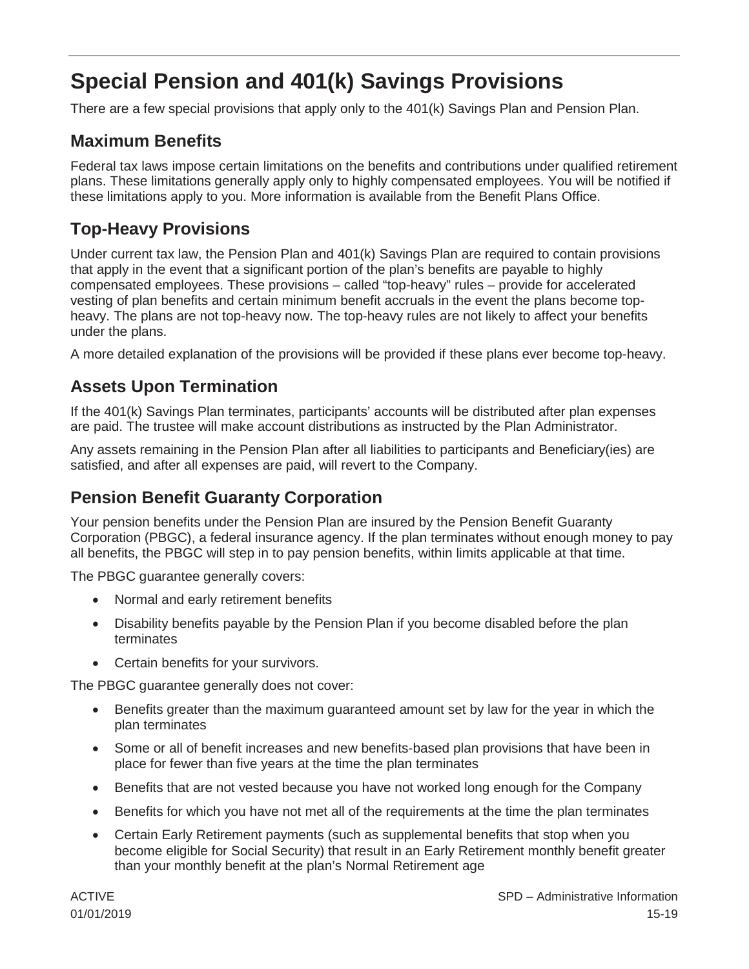## **Special Pension and 401(k) Savings Provisions**

There are a few special provisions that apply only to the 401(k) Savings Plan and Pension Plan.

#### **Maximum Benefits**

Federal tax laws impose certain limitations on the benefits and contributions under qualified retirement plans. These limitations generally apply only to highly compensated employees. You will be notified if these limitations apply to you. More information is available from the Benefit Plans Office.

#### **Top-Heavy Provisions**

Under current tax law, the Pension Plan and 401(k) Savings Plan are required to contain provisions that apply in the event that a significant portion of the plan's benefits are payable to highly compensated employees. These provisions – called "top-heavy" rules – provide for accelerated vesting of plan benefits and certain minimum benefit accruals in the event the plans become topheavy. The plans are not top-heavy now. The top-heavy rules are not likely to affect your benefits under the plans.

A more detailed explanation of the provisions will be provided if these plans ever become top-heavy.

#### **Assets Upon Termination**

If the 401(k) Savings Plan terminates, participants' accounts will be distributed after plan expenses are paid. The trustee will make account distributions as instructed by the Plan Administrator.

Any assets remaining in the Pension Plan after all liabilities to participants and Beneficiary(ies) are satisfied, and after all expenses are paid, will revert to the Company.

#### **Pension Benefit Guaranty Corporation**

Your pension benefits under the Pension Plan are insured by the Pension Benefit Guaranty Corporation (PBGC), a federal insurance agency. If the plan terminates without enough money to pay all benefits, the PBGC will step in to pay pension benefits, within limits applicable at that time.

The PBGC guarantee generally covers:

- Normal and early retirement benefits
- Disability benefits payable by the Pension Plan if you become disabled before the plan terminates
- Certain benefits for your survivors.

The PBGC guarantee generally does not cover:

- Benefits greater than the maximum guaranteed amount set by law for the year in which the plan terminates
- Some or all of benefit increases and new benefits-based plan provisions that have been in place for fewer than five years at the time the plan terminates
- Benefits that are not vested because you have not worked long enough for the Company
- Benefits for which you have not met all of the requirements at the time the plan terminates
- Certain Early Retirement payments (such as supplemental benefits that stop when you become eligible for Social Security) that result in an Early Retirement monthly benefit greater than your monthly benefit at the plan's Normal Retirement age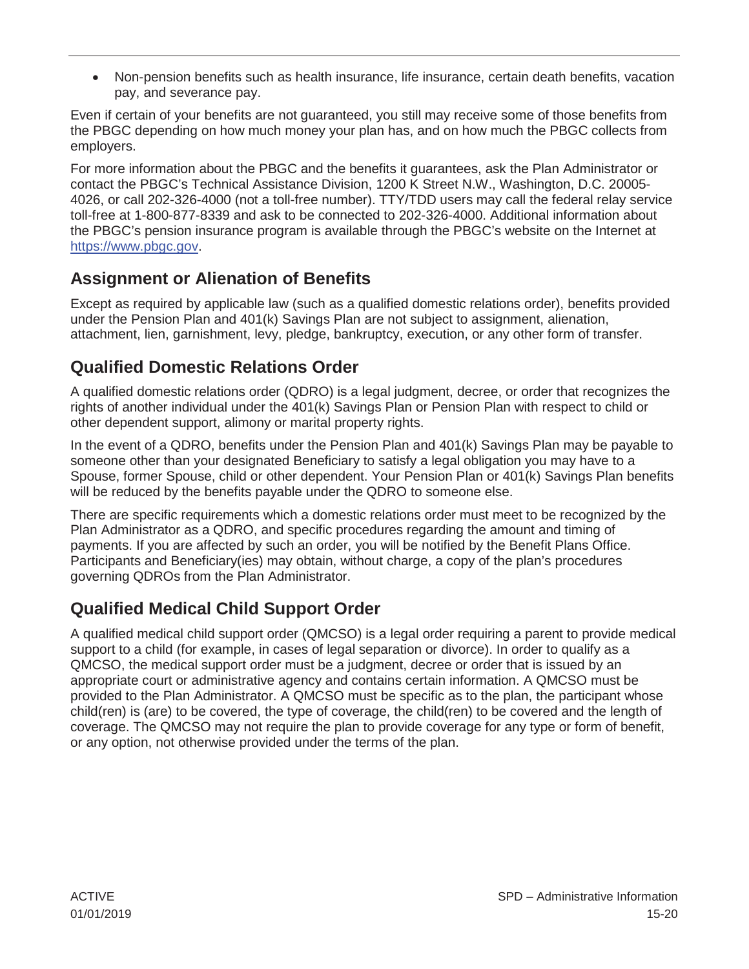• Non-pension benefits such as health insurance, life insurance, certain death benefits, vacation pay, and severance pay.

Even if certain of your benefits are not guaranteed, you still may receive some of those benefits from the PBGC depending on how much money your plan has, and on how much the PBGC collects from employers.

For more information about the PBGC and the benefits it guarantees, ask the Plan Administrator or contact the PBGC's Technical Assistance Division, 1200 K Street N.W., Washington, D.C. 20005- 4026, or call 202-326-4000 (not a toll-free number). TTY/TDD users may call the federal relay service toll-free at 1-800-877-8339 and ask to be connected to 202-326-4000. Additional information about the PBGC's pension insurance program is available through the PBGC's website on the Internet at https://www.pbgc.gov.

#### **Assignment or Alienation of Benefits**

Except as required by applicable law (such as a qualified domestic relations order), benefits provided under the Pension Plan and 401(k) Savings Plan are not subject to assignment, alienation, attachment, lien, garnishment, levy, pledge, bankruptcy, execution, or any other form of transfer.

#### **Qualified Domestic Relations Order**

A qualified domestic relations order (QDRO) is a legal judgment, decree, or order that recognizes the rights of another individual under the 401(k) Savings Plan or Pension Plan with respect to child or other dependent support, alimony or marital property rights.

In the event of a QDRO, benefits under the Pension Plan and 401(k) Savings Plan may be payable to someone other than your designated Beneficiary to satisfy a legal obligation you may have to a Spouse, former Spouse, child or other dependent. Your Pension Plan or 401(k) Savings Plan benefits will be reduced by the benefits payable under the QDRO to someone else.

There are specific requirements which a domestic relations order must meet to be recognized by the Plan Administrator as a QDRO, and specific procedures regarding the amount and timing of payments. If you are affected by such an order, you will be notified by the Benefit Plans Office. Participants and Beneficiary(ies) may obtain, without charge, a copy of the plan's procedures governing QDROs from the Plan Administrator.

#### **Qualified Medical Child Support Order**

A qualified medical child support order (QMCSO) is a legal order requiring a parent to provide medical support to a child (for example, in cases of legal separation or divorce). In order to qualify as a QMCSO, the medical support order must be a judgment, decree or order that is issued by an appropriate court or administrative agency and contains certain information. A QMCSO must be provided to the Plan Administrator. A QMCSO must be specific as to the plan, the participant whose child(ren) is (are) to be covered, the type of coverage, the child(ren) to be covered and the length of coverage. The QMCSO may not require the plan to provide coverage for any type or form of benefit, or any option, not otherwise provided under the terms of the plan.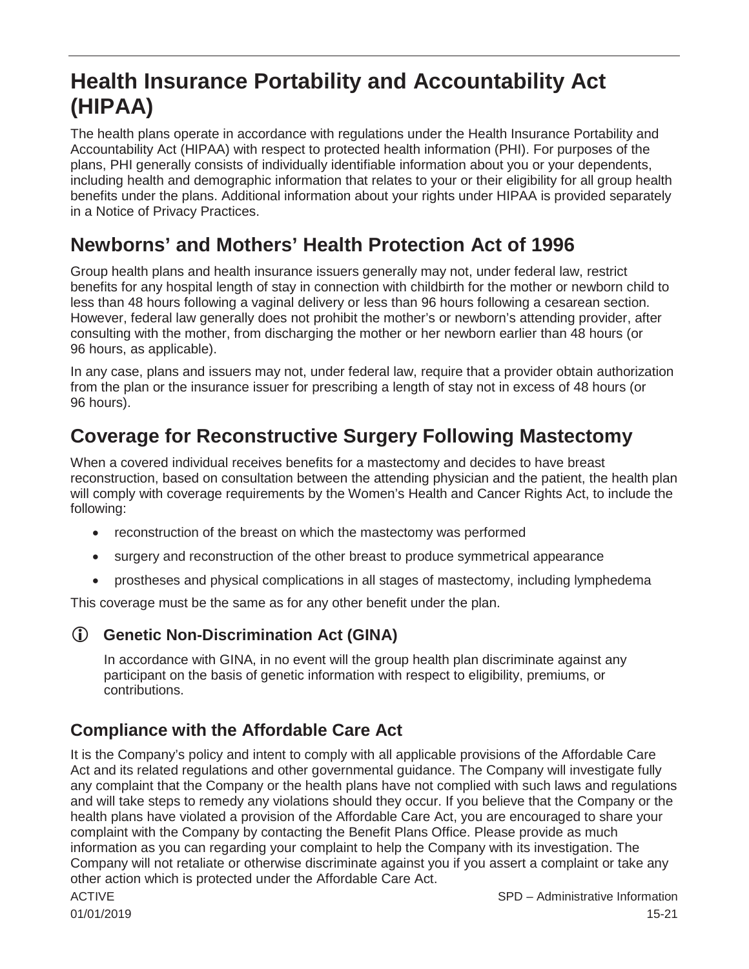## **Health Insurance Portability and Accountability Act (HIPAA)**

The health plans operate in accordance with regulations under the Health Insurance Portability and Accountability Act (HIPAA) with respect to protected health information (PHI). For purposes of the plans, PHI generally consists of individually identifiable information about you or your dependents, including health and demographic information that relates to your or their eligibility for all group health benefits under the plans. Additional information about your rights under HIPAA is provided separately in a Notice of Privacy Practices.

### **Newborns' and Mothers' Health Protection Act of 1996**

Group health plans and health insurance issuers generally may not, under federal law, restrict benefits for any hospital length of stay in connection with childbirth for the mother or newborn child to less than 48 hours following a vaginal delivery or less than 96 hours following a cesarean section. However, federal law generally does not prohibit the mother's or newborn's attending provider, after consulting with the mother, from discharging the mother or her newborn earlier than 48 hours (or 96 hours, as applicable).

In any case, plans and issuers may not, under federal law, require that a provider obtain authorization from the plan or the insurance issuer for prescribing a length of stay not in excess of 48 hours (or 96 hours).

## **Coverage for Reconstructive Surgery Following Mastectomy**

When a covered individual receives benefits for a mastectomy and decides to have breast reconstruction, based on consultation between the attending physician and the patient, the health plan will comply with coverage requirements by the Women's Health and Cancer Rights Act, to include the following:

- reconstruction of the breast on which the mastectomy was performed
- surgery and reconstruction of the other breast to produce symmetrical appearance
- prostheses and physical complications in all stages of mastectomy, including lymphedema

This coverage must be the same as for any other benefit under the plan.

#### L **Genetic Non-Discrimination Act (GINA)**

In accordance with GINA, in no event will the group health plan discriminate against any participant on the basis of genetic information with respect to eligibility, premiums, or contributions.

#### **Compliance with the Affordable Care Act**

It is the Company's policy and intent to comply with all applicable provisions of the Affordable Care Act and its related regulations and other governmental guidance. The Company will investigate fully any complaint that the Company or the health plans have not complied with such laws and regulations and will take steps to remedy any violations should they occur. If you believe that the Company or the health plans have violated a provision of the Affordable Care Act, you are encouraged to share your complaint with the Company by contacting the Benefit Plans Office. Please provide as much information as you can regarding your complaint to help the Company with its investigation. The Company will not retaliate or otherwise discriminate against you if you assert a complaint or take any other action which is protected under the Affordable Care Act.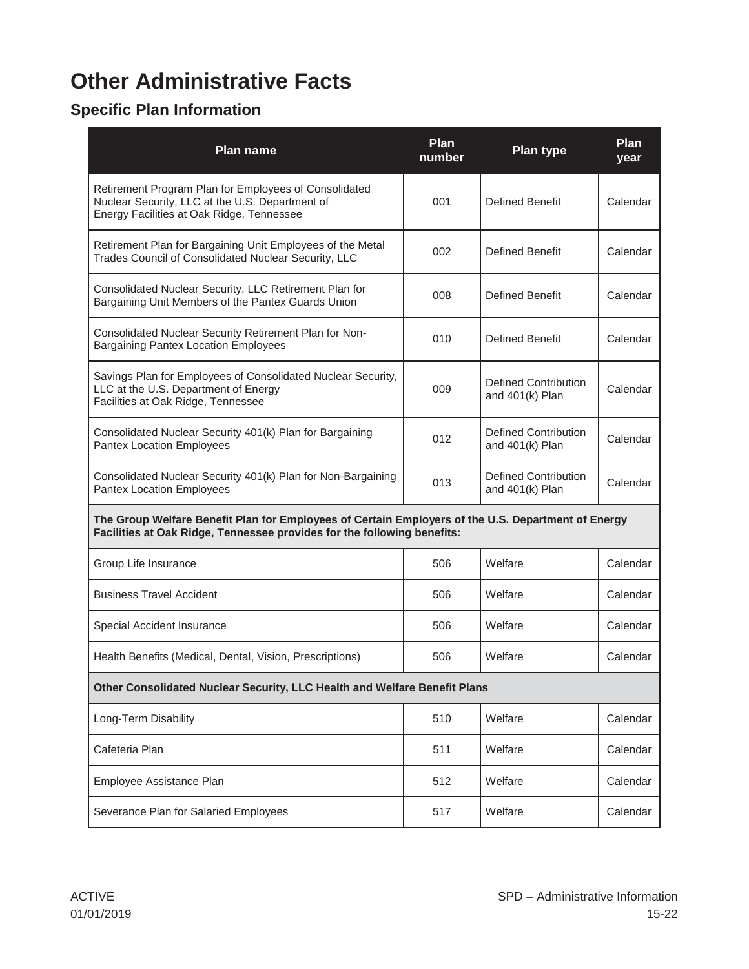# **Other Administrative Facts**

### **Specific Plan Information**

| <b>Plan name</b>                                                                                                                                                              | Plan<br>number | <b>Plan type</b>                               | <b>Plan</b><br>year |  |  |  |
|-------------------------------------------------------------------------------------------------------------------------------------------------------------------------------|----------------|------------------------------------------------|---------------------|--|--|--|
| Retirement Program Plan for Employees of Consolidated<br>Nuclear Security, LLC at the U.S. Department of<br>Energy Facilities at Oak Ridge, Tennessee                         | 001            | <b>Defined Benefit</b>                         | Calendar            |  |  |  |
| Retirement Plan for Bargaining Unit Employees of the Metal<br>Trades Council of Consolidated Nuclear Security, LLC                                                            | 002            | <b>Defined Benefit</b>                         | Calendar            |  |  |  |
| Consolidated Nuclear Security, LLC Retirement Plan for<br>Bargaining Unit Members of the Pantex Guards Union                                                                  | 008            | Defined Benefit                                | Calendar            |  |  |  |
| Consolidated Nuclear Security Retirement Plan for Non-<br><b>Bargaining Pantex Location Employees</b>                                                                         | 010            | Defined Benefit                                | Calendar            |  |  |  |
| Savings Plan for Employees of Consolidated Nuclear Security,<br>LLC at the U.S. Department of Energy<br>Facilities at Oak Ridge, Tennessee                                    | 009            | <b>Defined Contribution</b><br>and 401(k) Plan | Calendar            |  |  |  |
| Consolidated Nuclear Security 401(k) Plan for Bargaining<br>Pantex Location Employees                                                                                         | 012            | Defined Contribution<br>and 401(k) Plan        | Calendar            |  |  |  |
| Consolidated Nuclear Security 401(k) Plan for Non-Bargaining<br><b>Pantex Location Employees</b>                                                                              | 013            | <b>Defined Contribution</b><br>and 401(k) Plan | Calendar            |  |  |  |
| The Group Welfare Benefit Plan for Employees of Certain Employers of the U.S. Department of Energy<br>Facilities at Oak Ridge, Tennessee provides for the following benefits: |                |                                                |                     |  |  |  |
| Group Life Insurance                                                                                                                                                          | 506            | Welfare                                        | Calendar            |  |  |  |
| <b>Business Travel Accident</b>                                                                                                                                               | 506            | Welfare                                        | Calendar            |  |  |  |
| Special Accident Insurance                                                                                                                                                    | 506            | Welfare                                        | Calendar            |  |  |  |
| Health Benefits (Medical, Dental, Vision, Prescriptions)                                                                                                                      | 506            | Welfare                                        | Calendar            |  |  |  |
| Other Consolidated Nuclear Security, LLC Health and Welfare Benefit Plans                                                                                                     |                |                                                |                     |  |  |  |
| Long-Term Disability                                                                                                                                                          | 510            | Welfare                                        | Calendar            |  |  |  |
| Cafeteria Plan                                                                                                                                                                | 511            | Welfare                                        | Calendar            |  |  |  |
| Employee Assistance Plan                                                                                                                                                      | 512            | Welfare                                        | Calendar            |  |  |  |
| Severance Plan for Salaried Employees                                                                                                                                         | 517            | Welfare                                        | Calendar            |  |  |  |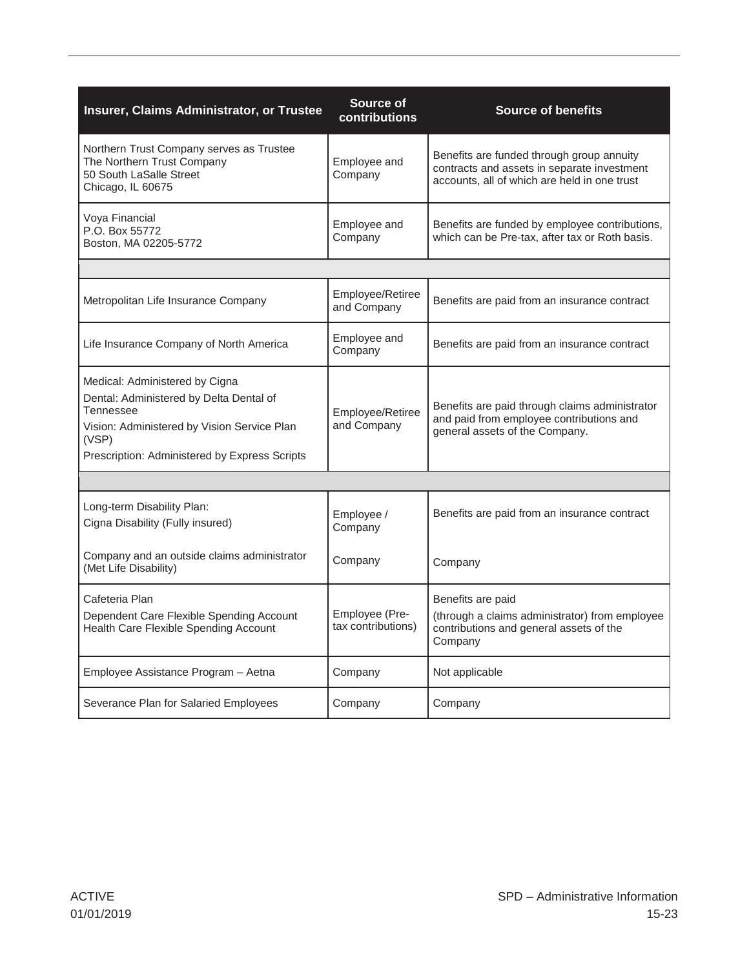| Insurer, Claims Administrator, or Trustee                                                                                                                                                       | <b>Source of</b><br>contributions    | <b>Source of benefits</b>                                                                                                                |  |
|-------------------------------------------------------------------------------------------------------------------------------------------------------------------------------------------------|--------------------------------------|------------------------------------------------------------------------------------------------------------------------------------------|--|
| Northern Trust Company serves as Trustee<br>The Northern Trust Company<br>50 South LaSalle Street<br>Chicago, IL 60675                                                                          | Employee and<br>Company              | Benefits are funded through group annuity<br>contracts and assets in separate investment<br>accounts, all of which are held in one trust |  |
| Voya Financial<br>P.O. Box 55772<br>Boston, MA 02205-5772                                                                                                                                       | Employee and<br>Company              | Benefits are funded by employee contributions,<br>which can be Pre-tax, after tax or Roth basis.                                         |  |
|                                                                                                                                                                                                 |                                      |                                                                                                                                          |  |
| Metropolitan Life Insurance Company                                                                                                                                                             | Employee/Retiree<br>and Company      | Benefits are paid from an insurance contract                                                                                             |  |
| Life Insurance Company of North America                                                                                                                                                         | Employee and<br>Company              | Benefits are paid from an insurance contract                                                                                             |  |
| Medical: Administered by Cigna<br>Dental: Administered by Delta Dental of<br>Tennessee<br>Vision: Administered by Vision Service Plan<br>(VSP)<br>Prescription: Administered by Express Scripts | Employee/Retiree<br>and Company      | Benefits are paid through claims administrator<br>and paid from employee contributions and<br>general assets of the Company.             |  |
|                                                                                                                                                                                                 |                                      |                                                                                                                                          |  |
| Long-term Disability Plan:<br>Cigna Disability (Fully insured)                                                                                                                                  | Employee /<br>Company                | Benefits are paid from an insurance contract                                                                                             |  |
| Company and an outside claims administrator<br>(Met Life Disability)                                                                                                                            | Company                              | Company                                                                                                                                  |  |
| Cafeteria Plan<br>Dependent Care Flexible Spending Account<br>Health Care Flexible Spending Account                                                                                             | Employee (Pre-<br>tax contributions) | Benefits are paid<br>(through a claims administrator) from employee<br>contributions and general assets of the<br>Company                |  |
| Employee Assistance Program - Aetna                                                                                                                                                             | Company                              | Not applicable                                                                                                                           |  |
| Severance Plan for Salaried Employees                                                                                                                                                           | Company                              | Company                                                                                                                                  |  |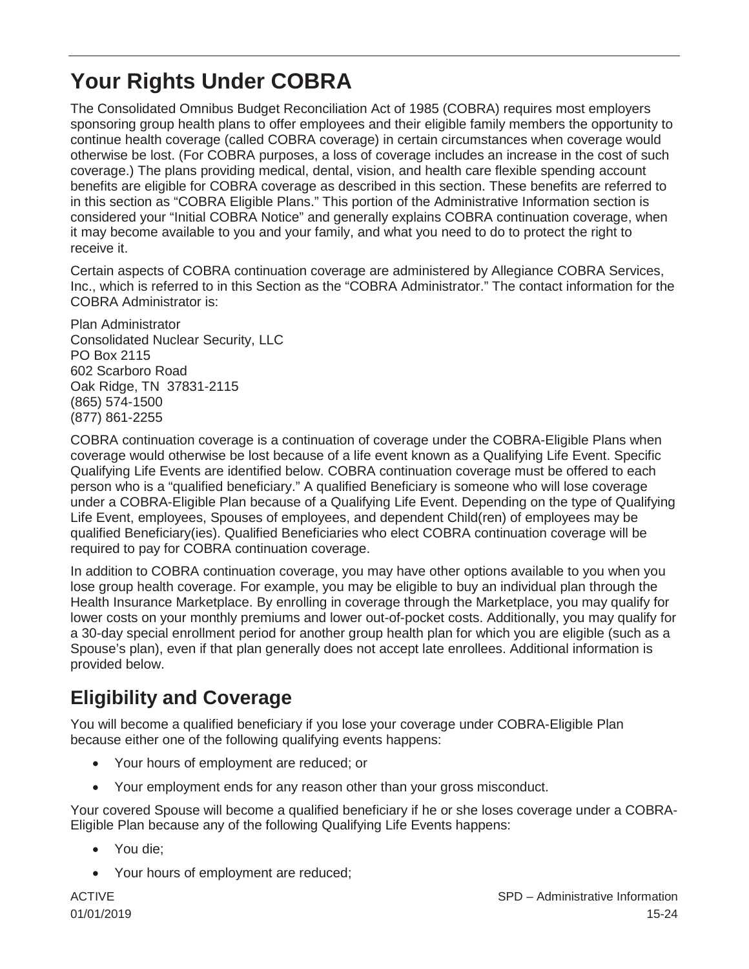## **Your Rights Under COBRA**

The Consolidated Omnibus Budget Reconciliation Act of 1985 (COBRA) requires most employers sponsoring group health plans to offer employees and their eligible family members the opportunity to continue health coverage (called COBRA coverage) in certain circumstances when coverage would otherwise be lost. (For COBRA purposes, a loss of coverage includes an increase in the cost of such coverage.) The plans providing medical, dental, vision, and health care flexible spending account benefits are eligible for COBRA coverage as described in this section. These benefits are referred to in this section as "COBRA Eligible Plans." This portion of the Administrative Information section is considered your "Initial COBRA Notice" and generally explains COBRA continuation coverage, when it may become available to you and your family, and what you need to do to protect the right to receive it.

Certain aspects of COBRA continuation coverage are administered by Allegiance COBRA Services, Inc., which is referred to in this Section as the "COBRA Administrator." The contact information for the COBRA Administrator is:

Plan Administrator Consolidated Nuclear Security, LLC PO Box 2115 602 Scarboro Road Oak Ridge, TN 37831-2115 (865) 574-1500 (877) 861-2255

COBRA continuation coverage is a continuation of coverage under the COBRA-Eligible Plans when coverage would otherwise be lost because of a life event known as a Qualifying Life Event. Specific Qualifying Life Events are identified below. COBRA continuation coverage must be offered to each person who is a "qualified beneficiary." A qualified Beneficiary is someone who will lose coverage under a COBRA-Eligible Plan because of a Qualifying Life Event. Depending on the type of Qualifying Life Event, employees, Spouses of employees, and dependent Child(ren) of employees may be qualified Beneficiary(ies). Qualified Beneficiaries who elect COBRA continuation coverage will be required to pay for COBRA continuation coverage.

In addition to COBRA continuation coverage, you may have other options available to you when you lose group health coverage. For example, you may be eligible to buy an individual plan through the Health Insurance Marketplace. By enrolling in coverage through the Marketplace, you may qualify for lower costs on your monthly premiums and lower out-of-pocket costs. Additionally, you may qualify for a 30-day special enrollment period for another group health plan for which you are eligible (such as a Spouse's plan), even if that plan generally does not accept late enrollees. Additional information is provided below.

## **Eligibility and Coverage**

You will become a qualified beneficiary if you lose your coverage under COBRA-Eligible Plan because either one of the following qualifying events happens:

- Your hours of employment are reduced; or
- Your employment ends for any reason other than your gross misconduct.

Your covered Spouse will become a qualified beneficiary if he or she loses coverage under a COBRA-Eligible Plan because any of the following Qualifying Life Events happens:

- You die:
- Your hours of employment are reduced;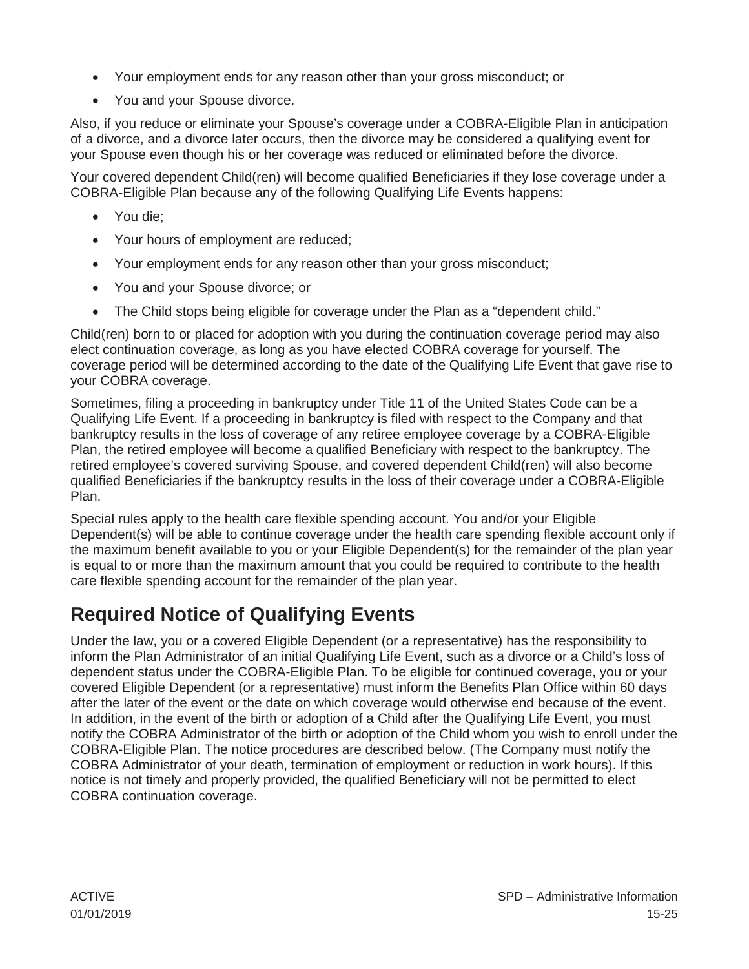- Your employment ends for any reason other than your gross misconduct; or
- You and your Spouse divorce.

Also, if you reduce or eliminate your Spouse's coverage under a COBRA-Eligible Plan in anticipation of a divorce, and a divorce later occurs, then the divorce may be considered a qualifying event for your Spouse even though his or her coverage was reduced or eliminated before the divorce.

Your covered dependent Child(ren) will become qualified Beneficiaries if they lose coverage under a COBRA-Eligible Plan because any of the following Qualifying Life Events happens:

- You die:
- Your hours of employment are reduced;
- Your employment ends for any reason other than your gross misconduct;
- You and your Spouse divorce; or
- The Child stops being eligible for coverage under the Plan as a "dependent child."

Child(ren) born to or placed for adoption with you during the continuation coverage period may also elect continuation coverage, as long as you have elected COBRA coverage for yourself. The coverage period will be determined according to the date of the Qualifying Life Event that gave rise to your COBRA coverage.

Sometimes, filing a proceeding in bankruptcy under Title 11 of the United States Code can be a Qualifying Life Event. If a proceeding in bankruptcy is filed with respect to the Company and that bankruptcy results in the loss of coverage of any retiree employee coverage by a COBRA-Eligible Plan, the retired employee will become a qualified Beneficiary with respect to the bankruptcy. The retired employee's covered surviving Spouse, and covered dependent Child(ren) will also become qualified Beneficiaries if the bankruptcy results in the loss of their coverage under a COBRA-Eligible Plan.

Special rules apply to the health care flexible spending account. You and/or your Eligible Dependent(s) will be able to continue coverage under the health care spending flexible account only if the maximum benefit available to you or your Eligible Dependent(s) for the remainder of the plan year is equal to or more than the maximum amount that you could be required to contribute to the health care flexible spending account for the remainder of the plan year.

## **Required Notice of Qualifying Events**

Under the law, you or a covered Eligible Dependent (or a representative) has the responsibility to inform the Plan Administrator of an initial Qualifying Life Event, such as a divorce or a Child's loss of dependent status under the COBRA-Eligible Plan. To be eligible for continued coverage, you or your covered Eligible Dependent (or a representative) must inform the Benefits Plan Office within 60 days after the later of the event or the date on which coverage would otherwise end because of the event. In addition, in the event of the birth or adoption of a Child after the Qualifying Life Event, you must notify the COBRA Administrator of the birth or adoption of the Child whom you wish to enroll under the COBRA-Eligible Plan. The notice procedures are described below. (The Company must notify the COBRA Administrator of your death, termination of employment or reduction in work hours). If this notice is not timely and properly provided, the qualified Beneficiary will not be permitted to elect COBRA continuation coverage.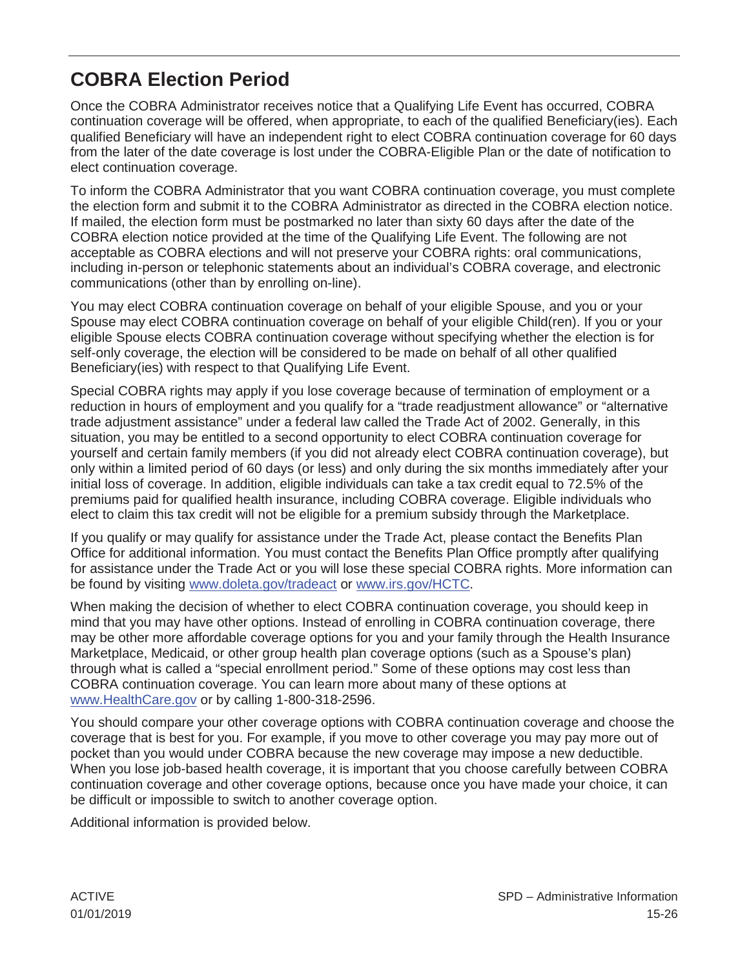## **COBRA Election Period**

Once the COBRA Administrator receives notice that a Qualifying Life Event has occurred, COBRA continuation coverage will be offered, when appropriate, to each of the qualified Beneficiary(ies). Each qualified Beneficiary will have an independent right to elect COBRA continuation coverage for 60 days from the later of the date coverage is lost under the COBRA-Eligible Plan or the date of notification to elect continuation coverage.

To inform the COBRA Administrator that you want COBRA continuation coverage, you must complete the election form and submit it to the COBRA Administrator as directed in the COBRA election notice. If mailed, the election form must be postmarked no later than sixty 60 days after the date of the COBRA election notice provided at the time of the Qualifying Life Event. The following are not acceptable as COBRA elections and will not preserve your COBRA rights: oral communications, including in-person or telephonic statements about an individual's COBRA coverage, and electronic communications (other than by enrolling on-line).

You may elect COBRA continuation coverage on behalf of your eligible Spouse, and you or your Spouse may elect COBRA continuation coverage on behalf of your eligible Child(ren). If you or your eligible Spouse elects COBRA continuation coverage without specifying whether the election is for self-only coverage, the election will be considered to be made on behalf of all other qualified Beneficiary(ies) with respect to that Qualifying Life Event.

Special COBRA rights may apply if you lose coverage because of termination of employment or a reduction in hours of employment and you qualify for a "trade readjustment allowance" or "alternative trade adjustment assistance" under a federal law called the Trade Act of 2002. Generally, in this situation, you may be entitled to a second opportunity to elect COBRA continuation coverage for yourself and certain family members (if you did not already elect COBRA continuation coverage), but only within a limited period of 60 days (or less) and only during the six months immediately after your initial loss of coverage. In addition, eligible individuals can take a tax credit equal to 72.5% of the premiums paid for qualified health insurance, including COBRA coverage. Eligible individuals who elect to claim this tax credit will not be eligible for a premium subsidy through the Marketplace.

If you qualify or may qualify for assistance under the Trade Act, please contact the Benefits Plan Office for additional information. You must contact the Benefits Plan Office promptly after qualifying for assistance under the Trade Act or you will lose these special COBRA rights. More information can be found by visiting www.doleta.gov/tradeact or www.irs.gov/HCTC.

When making the decision of whether to elect COBRA continuation coverage, you should keep in mind that you may have other options. Instead of enrolling in COBRA continuation coverage, there may be other more affordable coverage options for you and your family through the Health Insurance Marketplace, Medicaid, or other group health plan coverage options (such as a Spouse's plan) through what is called a "special enrollment period." Some of these options may cost less than COBRA continuation coverage. You can learn more about many of these options at www.HealthCare.gov or by calling 1-800-318-2596.

You should compare your other coverage options with COBRA continuation coverage and choose the coverage that is best for you. For example, if you move to other coverage you may pay more out of pocket than you would under COBRA because the new coverage may impose a new deductible. When you lose job-based health coverage, it is important that you choose carefully between COBRA continuation coverage and other coverage options, because once you have made your choice, it can be difficult or impossible to switch to another coverage option.

Additional information is provided below.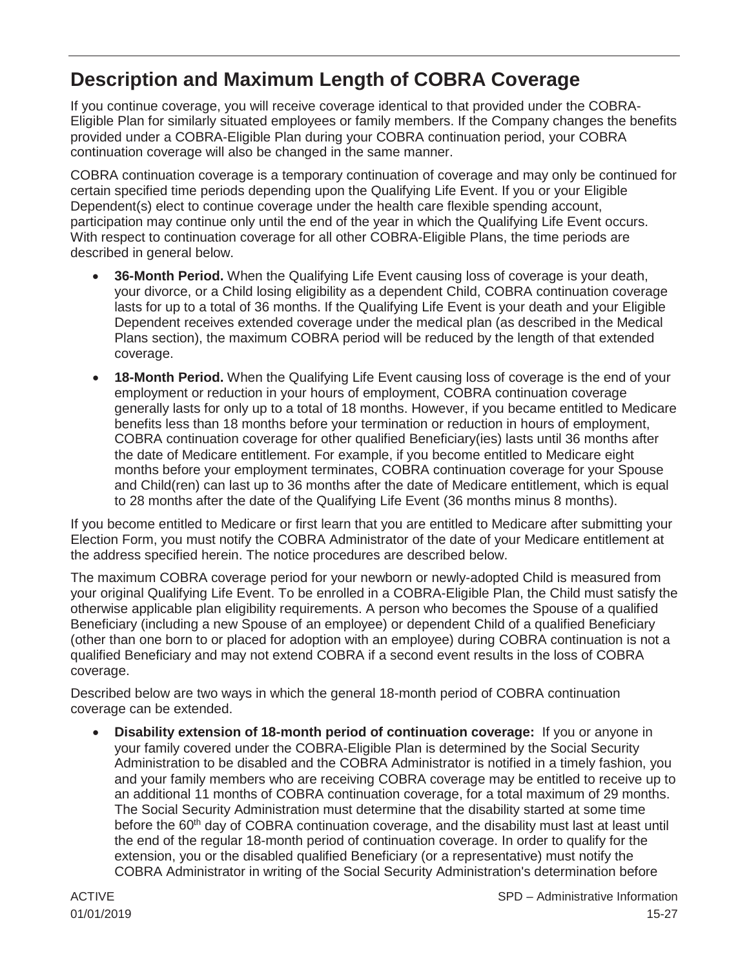### **Description and Maximum Length of COBRA Coverage**

If you continue coverage, you will receive coverage identical to that provided under the COBRA-Eligible Plan for similarly situated employees or family members. If the Company changes the benefits provided under a COBRA-Eligible Plan during your COBRA continuation period, your COBRA continuation coverage will also be changed in the same manner.

COBRA continuation coverage is a temporary continuation of coverage and may only be continued for certain specified time periods depending upon the Qualifying Life Event. If you or your Eligible Dependent(s) elect to continue coverage under the health care flexible spending account, participation may continue only until the end of the year in which the Qualifying Life Event occurs. With respect to continuation coverage for all other COBRA-Eligible Plans, the time periods are described in general below.

- **36-Month Period.** When the Qualifying Life Event causing loss of coverage is your death, your divorce, or a Child losing eligibility as a dependent Child, COBRA continuation coverage lasts for up to a total of 36 months. If the Qualifying Life Event is your death and your Eligible Dependent receives extended coverage under the medical plan (as described in the Medical Plans section), the maximum COBRA period will be reduced by the length of that extended coverage.
- **18-Month Period.** When the Qualifying Life Event causing loss of coverage is the end of your employment or reduction in your hours of employment, COBRA continuation coverage generally lasts for only up to a total of 18 months. However, if you became entitled to Medicare benefits less than 18 months before your termination or reduction in hours of employment, COBRA continuation coverage for other qualified Beneficiary(ies) lasts until 36 months after the date of Medicare entitlement. For example, if you become entitled to Medicare eight months before your employment terminates, COBRA continuation coverage for your Spouse and Child(ren) can last up to 36 months after the date of Medicare entitlement, which is equal to 28 months after the date of the Qualifying Life Event (36 months minus 8 months).

If you become entitled to Medicare or first learn that you are entitled to Medicare after submitting your Election Form, you must notify the COBRA Administrator of the date of your Medicare entitlement at the address specified herein. The notice procedures are described below.

The maximum COBRA coverage period for your newborn or newly-adopted Child is measured from your original Qualifying Life Event. To be enrolled in a COBRA-Eligible Plan, the Child must satisfy the otherwise applicable plan eligibility requirements. A person who becomes the Spouse of a qualified Beneficiary (including a new Spouse of an employee) or dependent Child of a qualified Beneficiary (other than one born to or placed for adoption with an employee) during COBRA continuation is not a qualified Beneficiary and may not extend COBRA if a second event results in the loss of COBRA coverage.

Described below are two ways in which the general 18-month period of COBRA continuation coverage can be extended.

**•** Disability extension of 18-month period of continuation coverage: If you or anyone in your family covered under the COBRA-Eligible Plan is determined by the Social Security Administration to be disabled and the COBRA Administrator is notified in a timely fashion, you and your family members who are receiving COBRA coverage may be entitled to receive up to an additional 11 months of COBRA continuation coverage, for a total maximum of 29 months. The Social Security Administration must determine that the disability started at some time before the 60<sup>th</sup> day of COBRA continuation coverage, and the disability must last at least until the end of the regular 18-month period of continuation coverage. In order to qualify for the extension, you or the disabled qualified Beneficiary (or a representative) must notify the COBRA Administrator in writing of the Social Security Administration's determination before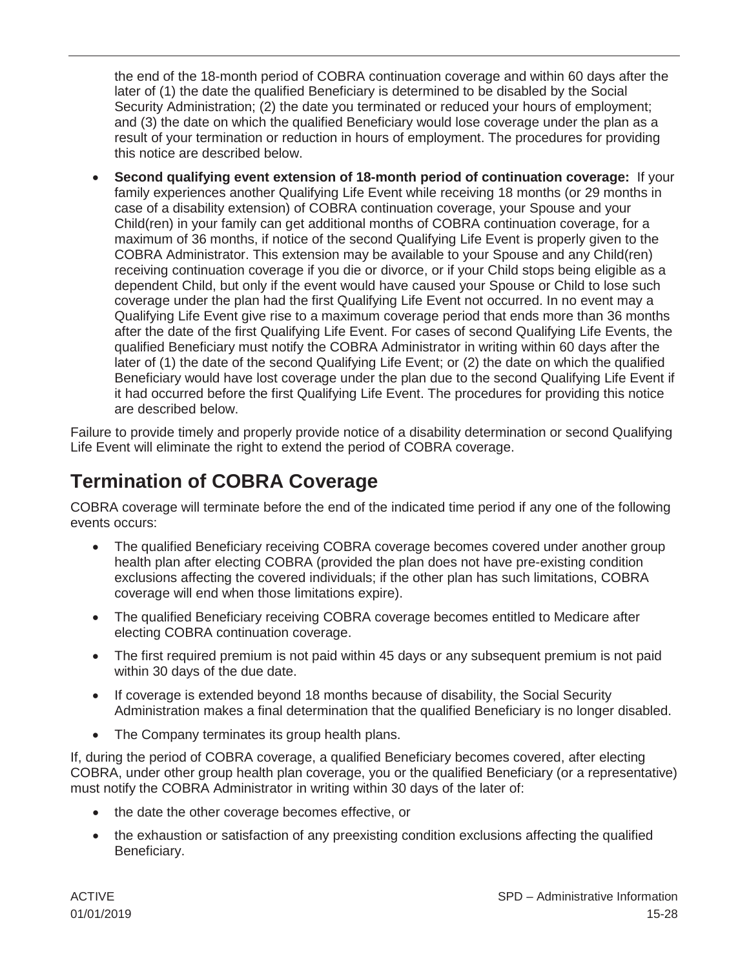the end of the 18-month period of COBRA continuation coverage and within 60 days after the later of (1) the date the qualified Beneficiary is determined to be disabled by the Social Security Administration; (2) the date you terminated or reduced your hours of employment; and (3) the date on which the qualified Beneficiary would lose coverage under the plan as a result of your termination or reduction in hours of employment. The procedures for providing this notice are described below.

**Second qualifying event extension of 18-month period of continuation coverage:** If your family experiences another Qualifying Life Event while receiving 18 months (or 29 months in case of a disability extension) of COBRA continuation coverage, your Spouse and your Child(ren) in your family can get additional months of COBRA continuation coverage, for a maximum of 36 months, if notice of the second Qualifying Life Event is properly given to the COBRA Administrator. This extension may be available to your Spouse and any Child(ren) receiving continuation coverage if you die or divorce, or if your Child stops being eligible as a dependent Child, but only if the event would have caused your Spouse or Child to lose such coverage under the plan had the first Qualifying Life Event not occurred. In no event may a Qualifying Life Event give rise to a maximum coverage period that ends more than 36 months after the date of the first Qualifying Life Event. For cases of second Qualifying Life Events, the qualified Beneficiary must notify the COBRA Administrator in writing within 60 days after the later of (1) the date of the second Qualifying Life Event; or (2) the date on which the qualified Beneficiary would have lost coverage under the plan due to the second Qualifying Life Event if it had occurred before the first Qualifying Life Event. The procedures for providing this notice are described below.

Failure to provide timely and properly provide notice of a disability determination or second Qualifying Life Event will eliminate the right to extend the period of COBRA coverage.

## **Termination of COBRA Coverage**

COBRA coverage will terminate before the end of the indicated time period if any one of the following events occurs:

- The qualified Beneficiary receiving COBRA coverage becomes covered under another group health plan after electing COBRA (provided the plan does not have pre-existing condition exclusions affecting the covered individuals; if the other plan has such limitations, COBRA coverage will end when those limitations expire).
- The qualified Beneficiary receiving COBRA coverage becomes entitled to Medicare after electing COBRA continuation coverage.
- The first required premium is not paid within 45 days or any subsequent premium is not paid within 30 days of the due date.
- If coverage is extended beyond 18 months because of disability, the Social Security Administration makes a final determination that the qualified Beneficiary is no longer disabled.
- The Company terminates its group health plans.

If, during the period of COBRA coverage, a qualified Beneficiary becomes covered, after electing COBRA, under other group health plan coverage, you or the qualified Beneficiary (or a representative) must notify the COBRA Administrator in writing within 30 days of the later of:

- the date the other coverage becomes effective, or
- the exhaustion or satisfaction of any preexisting condition exclusions affecting the qualified Beneficiary.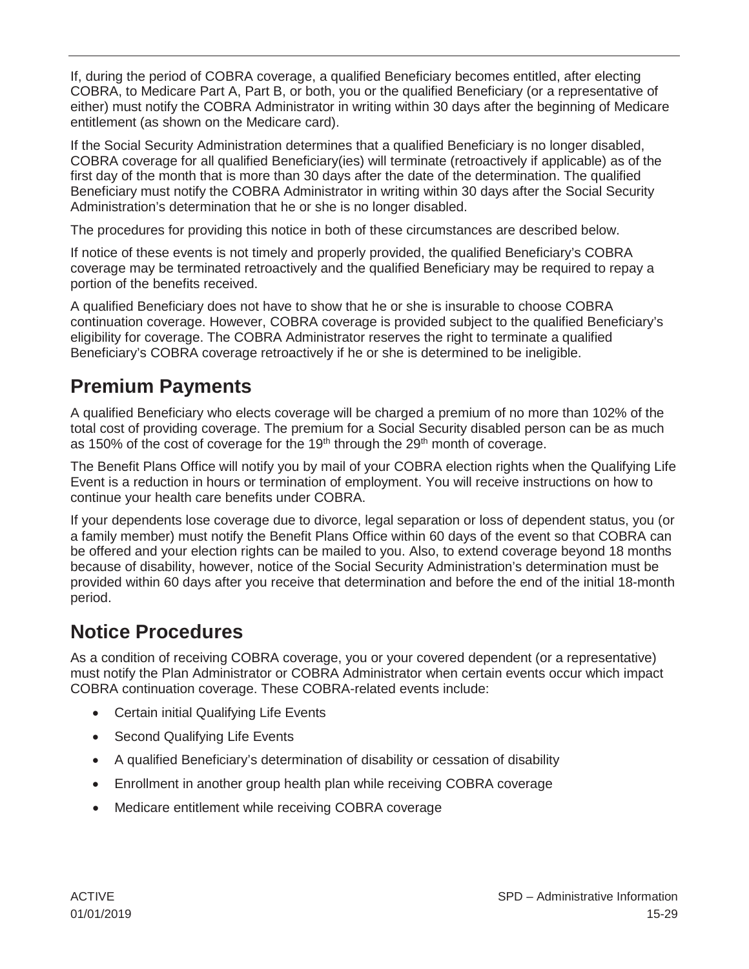If, during the period of COBRA coverage, a qualified Beneficiary becomes entitled, after electing COBRA, to Medicare Part A, Part B, or both, you or the qualified Beneficiary (or a representative of either) must notify the COBRA Administrator in writing within 30 days after the beginning of Medicare entitlement (as shown on the Medicare card).

If the Social Security Administration determines that a qualified Beneficiary is no longer disabled, COBRA coverage for all qualified Beneficiary(ies) will terminate (retroactively if applicable) as of the first day of the month that is more than 30 days after the date of the determination. The qualified Beneficiary must notify the COBRA Administrator in writing within 30 days after the Social Security Administration's determination that he or she is no longer disabled.

The procedures for providing this notice in both of these circumstances are described below.

If notice of these events is not timely and properly provided, the qualified Beneficiary's COBRA coverage may be terminated retroactively and the qualified Beneficiary may be required to repay a portion of the benefits received.

A qualified Beneficiary does not have to show that he or she is insurable to choose COBRA continuation coverage. However, COBRA coverage is provided subject to the qualified Beneficiary's eligibility for coverage. The COBRA Administrator reserves the right to terminate a qualified Beneficiary's COBRA coverage retroactively if he or she is determined to be ineligible.

### **Premium Payments**

A qualified Beneficiary who elects coverage will be charged a premium of no more than 102% of the total cost of providing coverage. The premium for a Social Security disabled person can be as much as 150% of the cost of coverage for the 19<sup>th</sup> through the  $29<sup>th</sup>$  month of coverage.

The Benefit Plans Office will notify you by mail of your COBRA election rights when the Qualifying Life Event is a reduction in hours or termination of employment. You will receive instructions on how to continue your health care benefits under COBRA.

If your dependents lose coverage due to divorce, legal separation or loss of dependent status, you (or a family member) must notify the Benefit Plans Office within 60 days of the event so that COBRA can be offered and your election rights can be mailed to you. Also, to extend coverage beyond 18 months because of disability, however, notice of the Social Security Administration's determination must be provided within 60 days after you receive that determination and before the end of the initial 18-month period.

### **Notice Procedures**

As a condition of receiving COBRA coverage, you or your covered dependent (or a representative) must notify the Plan Administrator or COBRA Administrator when certain events occur which impact COBRA continuation coverage. These COBRA-related events include:

- Certain initial Qualifying Life Events
- Second Qualifying Life Events
- A qualified Beneficiary's determination of disability or cessation of disability
- Enrollment in another group health plan while receiving COBRA coverage
- Medicare entitlement while receiving COBRA coverage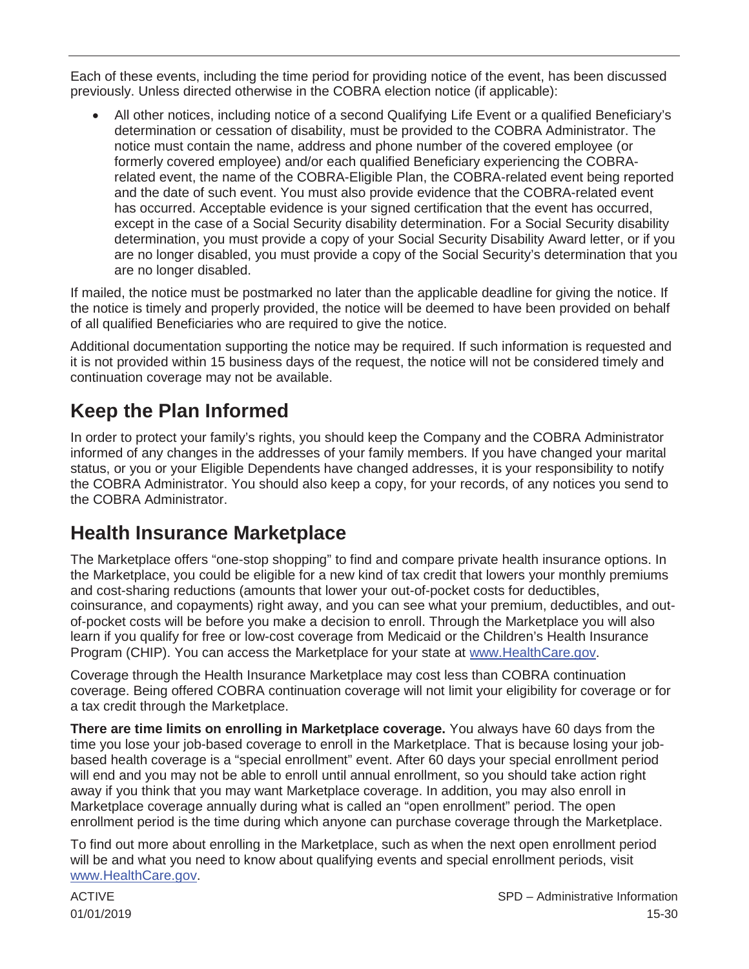Each of these events, including the time period for providing notice of the event, has been discussed previously. Unless directed otherwise in the COBRA election notice (if applicable):

• All other notices, including notice of a second Qualifying Life Event or a qualified Beneficiary's determination or cessation of disability, must be provided to the COBRA Administrator. The notice must contain the name, address and phone number of the covered employee (or formerly covered employee) and/or each qualified Beneficiary experiencing the COBRArelated event, the name of the COBRA-Eligible Plan, the COBRA-related event being reported and the date of such event. You must also provide evidence that the COBRA-related event has occurred. Acceptable evidence is your signed certification that the event has occurred, except in the case of a Social Security disability determination. For a Social Security disability determination, you must provide a copy of your Social Security Disability Award letter, or if you are no longer disabled, you must provide a copy of the Social Security's determination that you are no longer disabled.

If mailed, the notice must be postmarked no later than the applicable deadline for giving the notice. If the notice is timely and properly provided, the notice will be deemed to have been provided on behalf of all qualified Beneficiaries who are required to give the notice.

Additional documentation supporting the notice may be required. If such information is requested and it is not provided within 15 business days of the request, the notice will not be considered timely and continuation coverage may not be available.

## **Keep the Plan Informed**

In order to protect your family's rights, you should keep the Company and the COBRA Administrator informed of any changes in the addresses of your family members. If you have changed your marital status, or you or your Eligible Dependents have changed addresses, it is your responsibility to notify the COBRA Administrator. You should also keep a copy, for your records, of any notices you send to the COBRA Administrator.

### **Health Insurance Marketplace**

The Marketplace offers "one-stop shopping" to find and compare private health insurance options. In the Marketplace, you could be eligible for a new kind of tax credit that lowers your monthly premiums and cost-sharing reductions (amounts that lower your out-of-pocket costs for deductibles, coinsurance, and copayments) right away, and you can see what your premium, deductibles, and outof-pocket costs will be before you make a decision to enroll. Through the Marketplace you will also learn if you qualify for free or low-cost coverage from Medicaid or the Children's Health Insurance Program (CHIP). You can access the Marketplace for your state at www.HealthCare.gov.

Coverage through the Health Insurance Marketplace may cost less than COBRA continuation coverage. Being offered COBRA continuation coverage will not limit your eligibility for coverage or for a tax credit through the Marketplace.

**There are time limits on enrolling in Marketplace coverage.** You always have 60 days from the time you lose your job-based coverage to enroll in the Marketplace. That is because losing your jobbased health coverage is a "special enrollment" event. After 60 days your special enrollment period will end and you may not be able to enroll until annual enrollment, so you should take action right away if you think that you may want Marketplace coverage. In addition, you may also enroll in Marketplace coverage annually during what is called an "open enrollment" period. The open enrollment period is the time during which anyone can purchase coverage through the Marketplace.

To find out more about enrolling in the Marketplace, such as when the next open enrollment period will be and what you need to know about qualifying events and special enrollment periods, visit www.HealthCare.gov.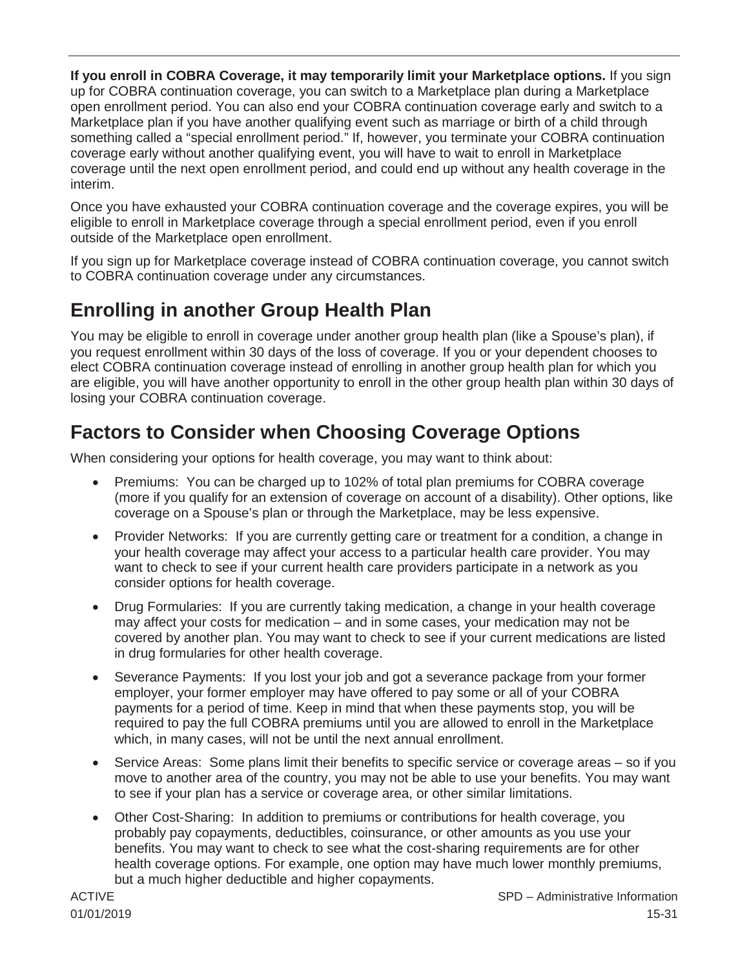**If you enroll in COBRA Coverage, it may temporarily limit your Marketplace options.** If you sign up for COBRA continuation coverage, you can switch to a Marketplace plan during a Marketplace open enrollment period. You can also end your COBRA continuation coverage early and switch to a Marketplace plan if you have another qualifying event such as marriage or birth of a child through something called a "special enrollment period." If, however, you terminate your COBRA continuation coverage early without another qualifying event, you will have to wait to enroll in Marketplace coverage until the next open enrollment period, and could end up without any health coverage in the interim.

Once you have exhausted your COBRA continuation coverage and the coverage expires, you will be eligible to enroll in Marketplace coverage through a special enrollment period, even if you enroll outside of the Marketplace open enrollment.

If you sign up for Marketplace coverage instead of COBRA continuation coverage, you cannot switch to COBRA continuation coverage under any circumstances.

### **Enrolling in another Group Health Plan**

You may be eligible to enroll in coverage under another group health plan (like a Spouse's plan), if you request enrollment within 30 days of the loss of coverage. If you or your dependent chooses to elect COBRA continuation coverage instead of enrolling in another group health plan for which you are eligible, you will have another opportunity to enroll in the other group health plan within 30 days of losing your COBRA continuation coverage.

### **Factors to Consider when Choosing Coverage Options**

When considering your options for health coverage, you may want to think about:

- Premiums: You can be charged up to 102% of total plan premiums for COBRA coverage (more if you qualify for an extension of coverage on account of a disability). Other options, like coverage on a Spouse's plan or through the Marketplace, may be less expensive.
- Provider Networks: If you are currently getting care or treatment for a condition, a change in your health coverage may affect your access to a particular health care provider. You may want to check to see if your current health care providers participate in a network as you consider options for health coverage.
- Drug Formularies: If you are currently taking medication, a change in your health coverage may affect your costs for medication – and in some cases, your medication may not be covered by another plan. You may want to check to see if your current medications are listed in drug formularies for other health coverage.
- Severance Payments: If you lost your job and got a severance package from your former employer, your former employer may have offered to pay some or all of your COBRA payments for a period of time. Keep in mind that when these payments stop, you will be required to pay the full COBRA premiums until you are allowed to enroll in the Marketplace which, in many cases, will not be until the next annual enrollment.
- Service Areas: Some plans limit their benefits to specific service or coverage areas so if you move to another area of the country, you may not be able to use your benefits. You may want to see if your plan has a service or coverage area, or other similar limitations.
- Other Cost-Sharing: In addition to premiums or contributions for health coverage, you probably pay copayments, deductibles, coinsurance, or other amounts as you use your benefits. You may want to check to see what the cost-sharing requirements are for other health coverage options. For example, one option may have much lower monthly premiums, but a much higher deductible and higher copayments.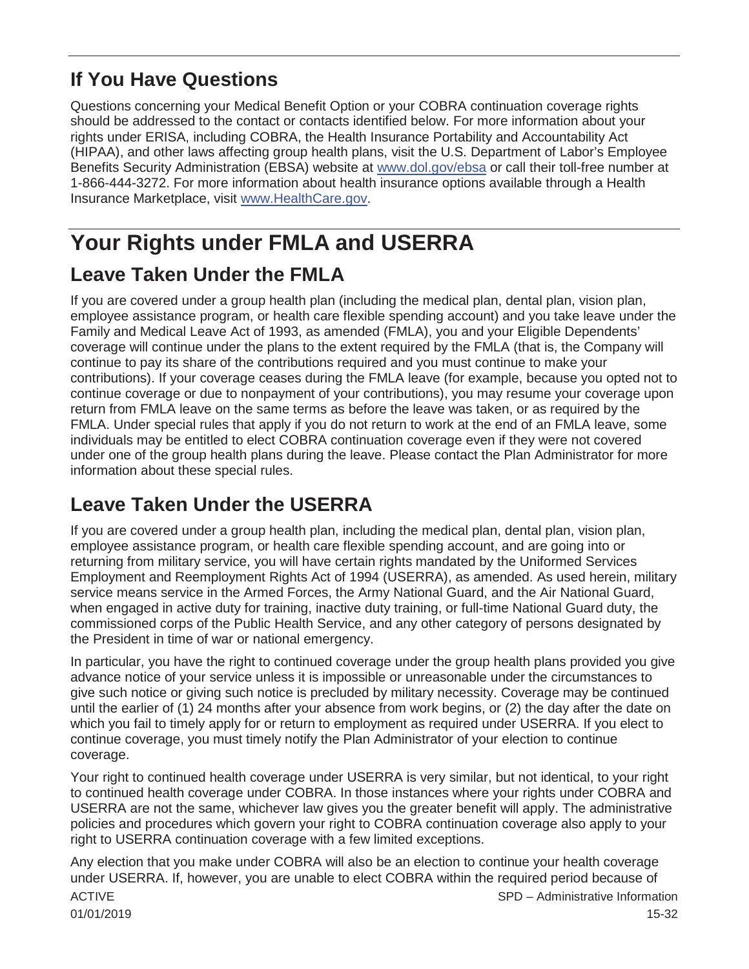## **If You Have Questions**

Questions concerning your Medical Benefit Option or your COBRA continuation coverage rights should be addressed to the contact or contacts identified below. For more information about your rights under ERISA, including COBRA, the Health Insurance Portability and Accountability Act (HIPAA), and other laws affecting group health plans, visit the U.S. Department of Labor's Employee Benefits Security Administration (EBSA) website at www.dol.gov/ebsa or call their toll-free number at 1-866-444-3272. For more information about health insurance options available through a Health Insurance Marketplace, visit www.HealthCare.gov.

# **Your Rights under FMLA and USERRA**

### **Leave Taken Under the FMLA**

If you are covered under a group health plan (including the medical plan, dental plan, vision plan, employee assistance program, or health care flexible spending account) and you take leave under the Family and Medical Leave Act of 1993, as amended (FMLA), you and your Eligible Dependents' coverage will continue under the plans to the extent required by the FMLA (that is, the Company will continue to pay its share of the contributions required and you must continue to make your contributions). If your coverage ceases during the FMLA leave (for example, because you opted not to continue coverage or due to nonpayment of your contributions), you may resume your coverage upon return from FMLA leave on the same terms as before the leave was taken, or as required by the FMLA. Under special rules that apply if you do not return to work at the end of an FMLA leave, some individuals may be entitled to elect COBRA continuation coverage even if they were not covered under one of the group health plans during the leave. Please contact the Plan Administrator for more information about these special rules.

### **Leave Taken Under the USERRA**

If you are covered under a group health plan, including the medical plan, dental plan, vision plan, employee assistance program, or health care flexible spending account, and are going into or returning from military service, you will have certain rights mandated by the Uniformed Services Employment and Reemployment Rights Act of 1994 (USERRA), as amended. As used herein, military service means service in the Armed Forces, the Army National Guard, and the Air National Guard, when engaged in active duty for training, inactive duty training, or full-time National Guard duty, the commissioned corps of the Public Health Service, and any other category of persons designated by the President in time of war or national emergency.

In particular, you have the right to continued coverage under the group health plans provided you give advance notice of your service unless it is impossible or unreasonable under the circumstances to give such notice or giving such notice is precluded by military necessity. Coverage may be continued until the earlier of (1) 24 months after your absence from work begins, or (2) the day after the date on which you fail to timely apply for or return to employment as required under USERRA. If you elect to continue coverage, you must timely notify the Plan Administrator of your election to continue coverage.

Your right to continued health coverage under USERRA is very similar, but not identical, to your right to continued health coverage under COBRA. In those instances where your rights under COBRA and USERRA are not the same, whichever law gives you the greater benefit will apply. The administrative policies and procedures which govern your right to COBRA continuation coverage also apply to your right to USERRA continuation coverage with a few limited exceptions.

ACTIVE ACTIVE ASSESSMENT OF THE SPIN SPD – Administrative Information 01/01/2019 15-32 Any election that you make under COBRA will also be an election to continue your health coverage under USERRA. If, however, you are unable to elect COBRA within the required period because of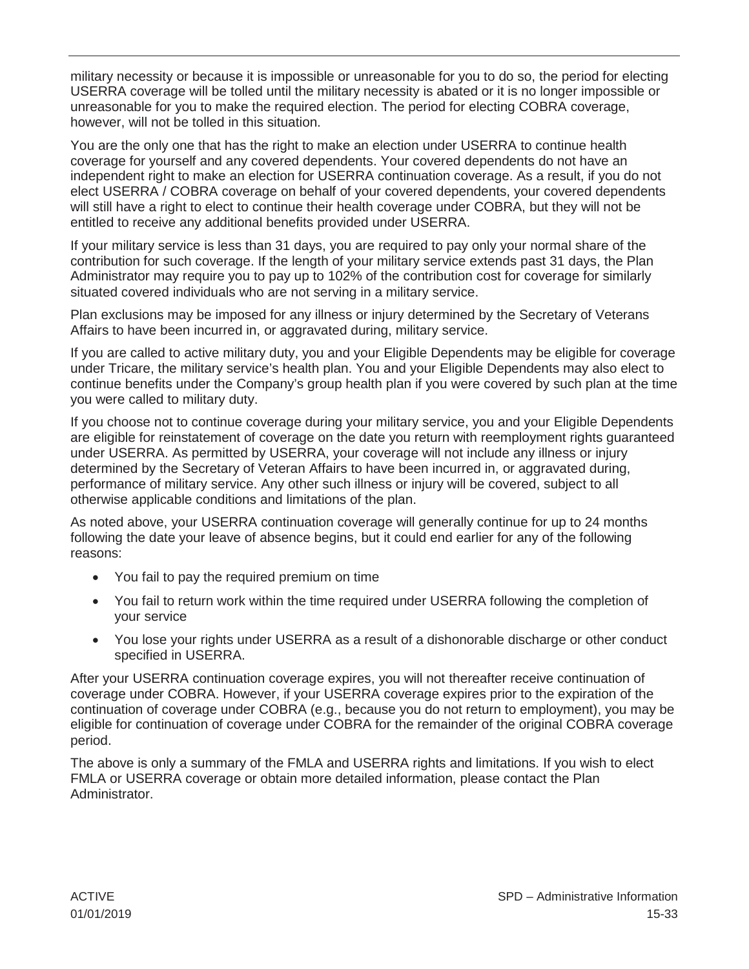military necessity or because it is impossible or unreasonable for you to do so, the period for electing USERRA coverage will be tolled until the military necessity is abated or it is no longer impossible or unreasonable for you to make the required election. The period for electing COBRA coverage, however, will not be tolled in this situation.

You are the only one that has the right to make an election under USERRA to continue health coverage for yourself and any covered dependents. Your covered dependents do not have an independent right to make an election for USERRA continuation coverage. As a result, if you do not elect USERRA / COBRA coverage on behalf of your covered dependents, your covered dependents will still have a right to elect to continue their health coverage under COBRA, but they will not be entitled to receive any additional benefits provided under USERRA.

If your military service is less than 31 days, you are required to pay only your normal share of the contribution for such coverage. If the length of your military service extends past 31 days, the Plan Administrator may require you to pay up to 102% of the contribution cost for coverage for similarly situated covered individuals who are not serving in a military service.

Plan exclusions may be imposed for any illness or injury determined by the Secretary of Veterans Affairs to have been incurred in, or aggravated during, military service.

If you are called to active military duty, you and your Eligible Dependents may be eligible for coverage under Tricare, the military service's health plan. You and your Eligible Dependents may also elect to continue benefits under the Company's group health plan if you were covered by such plan at the time you were called to military duty.

If you choose not to continue coverage during your military service, you and your Eligible Dependents are eligible for reinstatement of coverage on the date you return with reemployment rights guaranteed under USERRA. As permitted by USERRA, your coverage will not include any illness or injury determined by the Secretary of Veteran Affairs to have been incurred in, or aggravated during, performance of military service. Any other such illness or injury will be covered, subject to all otherwise applicable conditions and limitations of the plan.

As noted above, your USERRA continuation coverage will generally continue for up to 24 months following the date your leave of absence begins, but it could end earlier for any of the following reasons:

- You fail to pay the required premium on time
- You fail to return work within the time required under USERRA following the completion of your service
- You lose your rights under USERRA as a result of a dishonorable discharge or other conduct specified in USERRA.

After your USERRA continuation coverage expires, you will not thereafter receive continuation of coverage under COBRA. However, if your USERRA coverage expires prior to the expiration of the continuation of coverage under COBRA (e.g., because you do not return to employment), you may be eligible for continuation of coverage under COBRA for the remainder of the original COBRA coverage period.

The above is only a summary of the FMLA and USERRA rights and limitations. If you wish to elect FMLA or USERRA coverage or obtain more detailed information, please contact the Plan Administrator.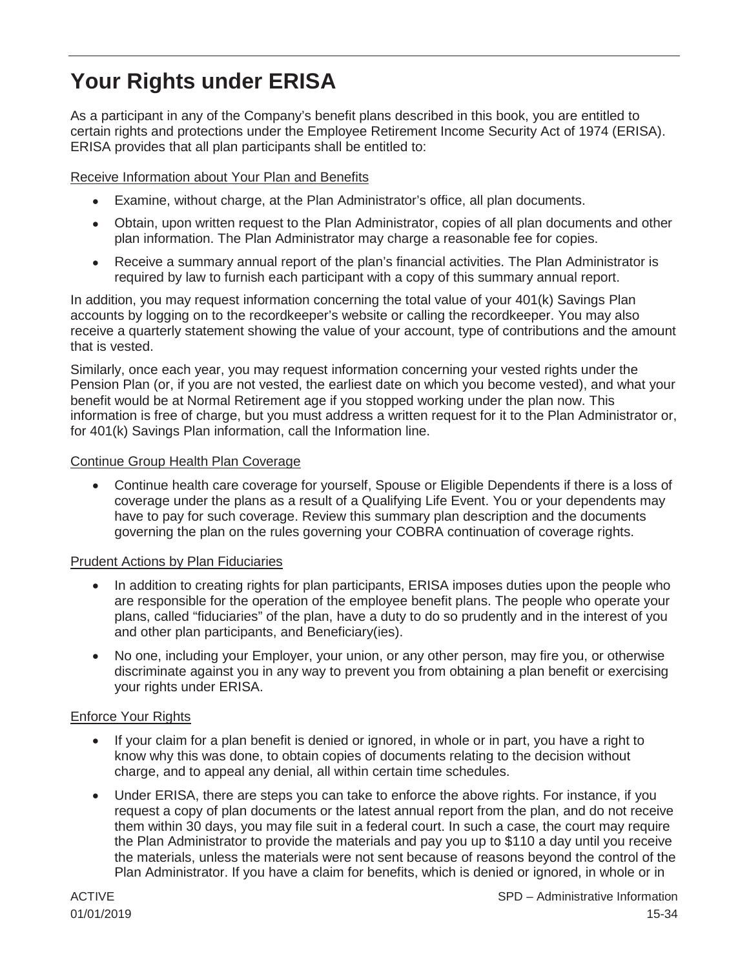## **Your Rights under ERISA**

As a participant in any of the Company's benefit plans described in this book, you are entitled to certain rights and protections under the Employee Retirement Income Security Act of 1974 (ERISA). ERISA provides that all plan participants shall be entitled to:

Receive Information about Your Plan and Benefits

- Examine, without charge, at the Plan Administrator's office, all plan documents.
- Obtain, upon written request to the Plan Administrator, copies of all plan documents and other plan information. The Plan Administrator may charge a reasonable fee for copies.
- Receive a summary annual report of the plan's financial activities. The Plan Administrator is required by law to furnish each participant with a copy of this summary annual report.

In addition, you may request information concerning the total value of your 401(k) Savings Plan accounts by logging on to the recordkeeper's website or calling the recordkeeper. You may also receive a quarterly statement showing the value of your account, type of contributions and the amount that is vested.

Similarly, once each year, you may request information concerning your vested rights under the Pension Plan (or, if you are not vested, the earliest date on which you become vested), and what your benefit would be at Normal Retirement age if you stopped working under the plan now. This information is free of charge, but you must address a written request for it to the Plan Administrator or, for 401(k) Savings Plan information, call the Information line.

#### Continue Group Health Plan Coverage

• Continue health care coverage for yourself, Spouse or Eligible Dependents if there is a loss of coverage under the plans as a result of a Qualifying Life Event. You or your dependents may have to pay for such coverage. Review this summary plan description and the documents governing the plan on the rules governing your COBRA continuation of coverage rights.

#### Prudent Actions by Plan Fiduciaries

- In addition to creating rights for plan participants, ERISA imposes duties upon the people who are responsible for the operation of the employee benefit plans. The people who operate your plans, called "fiduciaries" of the plan, have a duty to do so prudently and in the interest of you and other plan participants, and Beneficiary(ies).
- No one, including your Employer, your union, or any other person, may fire you, or otherwise discriminate against you in any way to prevent you from obtaining a plan benefit or exercising your rights under ERISA.

#### Enforce Your Rights

- If your claim for a plan benefit is denied or ignored, in whole or in part, you have a right to know why this was done, to obtain copies of documents relating to the decision without charge, and to appeal any denial, all within certain time schedules.
- Under ERISA, there are steps you can take to enforce the above rights. For instance, if you request a copy of plan documents or the latest annual report from the plan, and do not receive them within 30 days, you may file suit in a federal court. In such a case, the court may require the Plan Administrator to provide the materials and pay you up to \$110 a day until you receive the materials, unless the materials were not sent because of reasons beyond the control of the Plan Administrator. If you have a claim for benefits, which is denied or ignored, in whole or in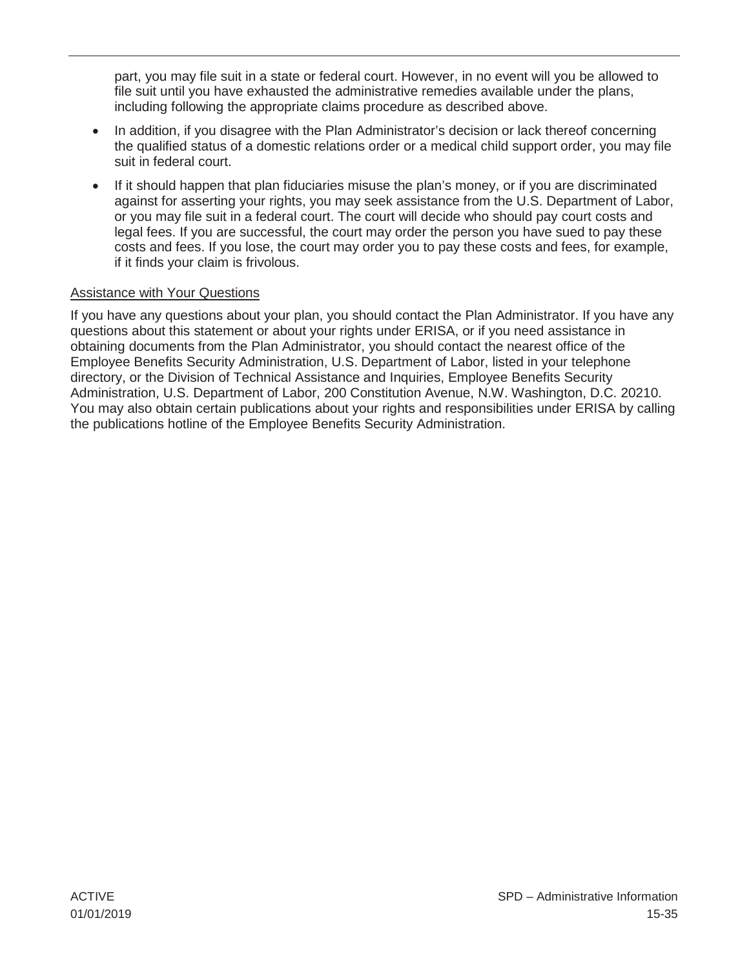part, you may file suit in a state or federal court. However, in no event will you be allowed to file suit until you have exhausted the administrative remedies available under the plans, including following the appropriate claims procedure as described above.

- In addition, if you disagree with the Plan Administrator's decision or lack thereof concerning the qualified status of a domestic relations order or a medical child support order, you may file suit in federal court.
- If it should happen that plan fiduciaries misuse the plan's money, or if you are discriminated against for asserting your rights, you may seek assistance from the U.S. Department of Labor, or you may file suit in a federal court. The court will decide who should pay court costs and legal fees. If you are successful, the court may order the person you have sued to pay these costs and fees. If you lose, the court may order you to pay these costs and fees, for example, if it finds your claim is frivolous.

#### Assistance with Your Questions

If you have any questions about your plan, you should contact the Plan Administrator. If you have any questions about this statement or about your rights under ERISA, or if you need assistance in obtaining documents from the Plan Administrator, you should contact the nearest office of the Employee Benefits Security Administration, U.S. Department of Labor, listed in your telephone directory, or the Division of Technical Assistance and Inquiries, Employee Benefits Security Administration, U.S. Department of Labor, 200 Constitution Avenue, N.W. Washington, D.C. 20210. You may also obtain certain publications about your rights and responsibilities under ERISA by calling the publications hotline of the Employee Benefits Security Administration.